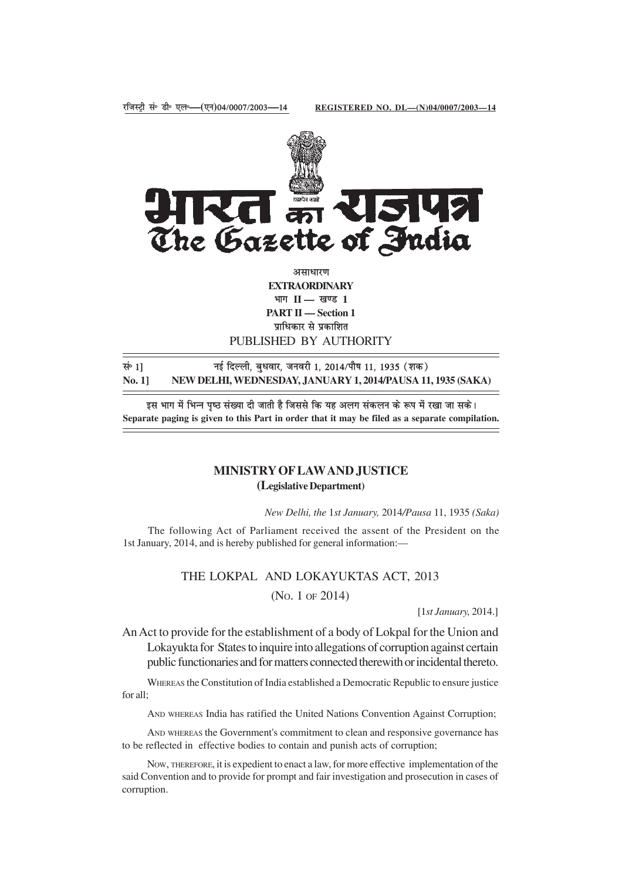

असाधारण **EXTRAORDINARY** भाग II — खण्ड 1 **PART II — Section 1** प्राधिकार से प्रकाशित PUBLISHED BY AUTHORITY

lañ 1**]** ubZ fnYyh] cq/kokj] tuojh 1] 2014@ikS"k 11] 1935 ¼'kd½ **No. 1] NEW DELHI, WEDNESDAY, JANUARY 1, 2014/PAUSA 11, 1935 (SAKA)**

इस भाग में भिन्न पृष्ठ संख्या दी जाती है जिससे कि यह अलग संकलन के रूप में रखा जा सके। **Separate paging is given to this Part in order that it may be filed as a separate compilation.**

# **MINISTRY OF LAW AND JUSTICE (Legislative Department)**

*New Delhi, the* 1*st January,* 2014*/Pausa* 11, 1935 *(Saka)*

The following Act of Parliament received the assent of the President on the 1st January, 2014, and is hereby published for general information:—

# THE LOKPAL AND LOKAYUKTAS ACT, 2013 (NO. 1 OF 2014)

[1*st January,* 2014.]

An Act to provide for the establishment of a body of Lokpal for the Union and Lokayukta for States to inquire into allegations of corruption against certain public functionaries and for matters connected therewith or incidental thereto.

WHEREAS the Constitution of India established a Democratic Republic to ensure justice for all;

AND WHEREAS India has ratified the United Nations Convention Against Corruption;

AND WHEREAS the Government's commitment to clean and responsive governance has to be reflected in effective bodies to contain and punish acts of corruption;

NOW, THEREFORE, it is expedient to enact a law, for more effective implementation of the said Convention and to provide for prompt and fair investigation and prosecution in cases of corruption.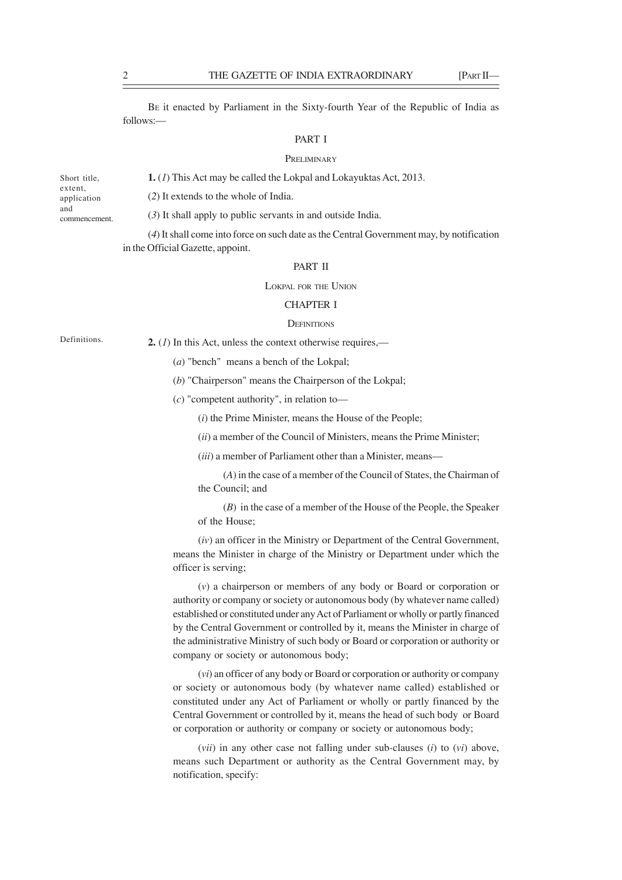BE it enacted by Parliament in the Sixty-fourth Year of the Republic of India as follows:—

#### PART I

#### **PRELIMINARY**

Short title, extent, application and commencement.

(*2*) It extends to the whole of India.

(*3*) It shall apply to public servants in and outside India.

**1.** (*1*) This Act may be called the Lokpal and Lokayuktas Act, 2013.

(*4*) It shall come into force on such date as the Central Government may, by notification in the Official Gazette, appoint.

## PART II

LOKPAL FOR THE UNION

## CHAPTER I

#### **DEFINITIONS**

Definitions.

**2.** (*1*) In this Act, unless the context otherwise requires,—

(*a*) "bench" means a bench of the Lokpal;

(*b*) "Chairperson" means the Chairperson of the Lokpal;

(*c*) "competent authority", in relation to—

(*i*) the Prime Minister, means the House of the People;

(*ii*) a member of the Council of Ministers, means the Prime Minister;

(*iii*) a member of Parliament other than a Minister, means—

(*A*) in the case of a member of the Council of States, the Chairman of the Council; and

(*B*) in the case of a member of the House of the People, the Speaker of the House;

(*iv*) an officer in the Ministry or Department of the Central Government, means the Minister in charge of the Ministry or Department under which the officer is serving;

(*v*) a chairperson or members of any body or Board or corporation or authority or company or society or autonomous body (by whatever name called) established or constituted under any Act of Parliament or wholly or partly financed by the Central Government or controlled by it, means the Minister in charge of the administrative Ministry of such body or Board or corporation or authority or company or society or autonomous body;

(*vi*) an officer of any body or Board or corporation or authority or company or society or autonomous body (by whatever name called) established or constituted under any Act of Parliament or wholly or partly financed by the Central Government or controlled by it, means the head of such body or Board or corporation or authority or company or society or autonomous body;

(*vii*) in any other case not falling under sub-clauses (*i*) to (*vi*) above, means such Department or authority as the Central Government may, by notification, specify: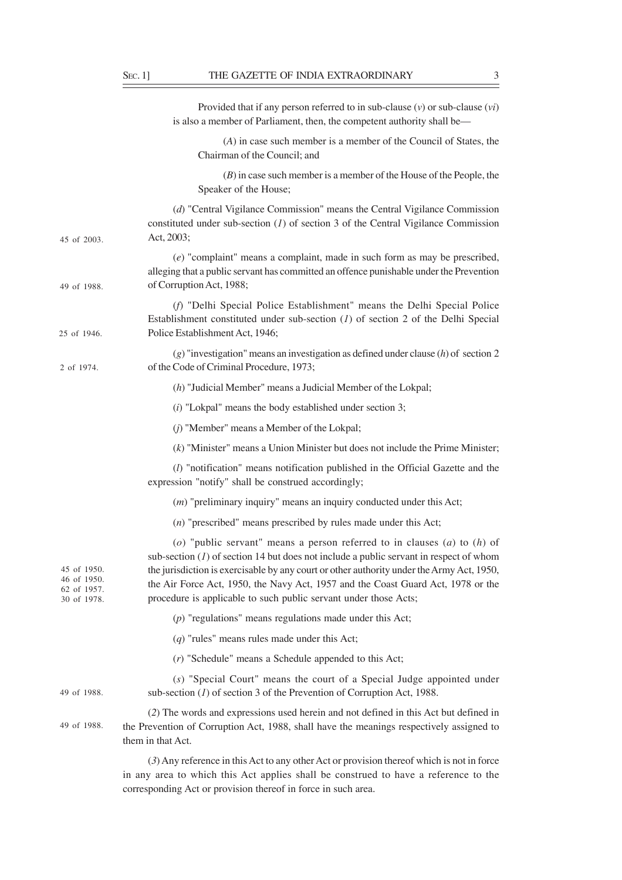|                                                          | Provided that if any person referred to in sub-clause $(v)$ or sub-clause $(vi)$<br>is also a member of Parliament, then, the competent authority shall be—                                                                                                                                                                                                                                                               |
|----------------------------------------------------------|---------------------------------------------------------------------------------------------------------------------------------------------------------------------------------------------------------------------------------------------------------------------------------------------------------------------------------------------------------------------------------------------------------------------------|
|                                                          | (A) in case such member is a member of the Council of States, the<br>Chairman of the Council; and                                                                                                                                                                                                                                                                                                                         |
|                                                          | $(B)$ in case such member is a member of the House of the People, the<br>Speaker of the House;                                                                                                                                                                                                                                                                                                                            |
| 45 of 2003.                                              | (d) "Central Vigilance Commission" means the Central Vigilance Commission<br>constituted under sub-section $(I)$ of section 3 of the Central Vigilance Commission<br>Act, 2003;                                                                                                                                                                                                                                           |
| 49 of 1988.                                              | $(e)$ "complaint" means a complaint, made in such form as may be prescribed,<br>alleging that a public servant has committed an offence punishable under the Prevention<br>of Corruption Act, 1988;                                                                                                                                                                                                                       |
| 25 of 1946.                                              | (f) "Delhi Special Police Establishment" means the Delhi Special Police<br>Establishment constituted under sub-section $(1)$ of section 2 of the Delhi Special<br>Police Establishment Act, 1946;                                                                                                                                                                                                                         |
| 2 of 1974.                                               | $(g)$ "investigation" means an investigation as defined under clause $(h)$ of section 2<br>of the Code of Criminal Procedure, 1973;                                                                                                                                                                                                                                                                                       |
|                                                          | $(h)$ "Judicial Member" means a Judicial Member of the Lokpal;                                                                                                                                                                                                                                                                                                                                                            |
|                                                          | $(i)$ "Lokpal" means the body established under section 3;                                                                                                                                                                                                                                                                                                                                                                |
|                                                          | (j) "Member" means a Member of the Lokpal;                                                                                                                                                                                                                                                                                                                                                                                |
|                                                          | $(k)$ "Minister" means a Union Minister but does not include the Prime Minister;                                                                                                                                                                                                                                                                                                                                          |
|                                                          | $(l)$ "notification" means notification published in the Official Gazette and the<br>expression "notify" shall be construed accordingly;                                                                                                                                                                                                                                                                                  |
|                                                          | $(m)$ "preliminary inquiry" means an inquiry conducted under this Act;                                                                                                                                                                                                                                                                                                                                                    |
|                                                          | $(n)$ "prescribed" means prescribed by rules made under this Act;                                                                                                                                                                                                                                                                                                                                                         |
| 45 of 1950.<br>46 of 1950.<br>62 of 1957.<br>30 of 1978. | (o) "public servant" means a person referred to in clauses (a) to (h) of<br>sub-section $(1)$ of section 14 but does not include a public servant in respect of whom<br>the jurisdiction is exercisable by any court or other authority under the Army Act, 1950,<br>the Air Force Act, 1950, the Navy Act, 1957 and the Coast Guard Act, 1978 or the<br>procedure is applicable to such public servant under those Acts; |
|                                                          | $(p)$ "regulations" means regulations made under this Act;                                                                                                                                                                                                                                                                                                                                                                |
|                                                          | $(q)$ "rules" means rules made under this Act;                                                                                                                                                                                                                                                                                                                                                                            |
|                                                          | $(r)$ "Schedule" means a Schedule appended to this Act;                                                                                                                                                                                                                                                                                                                                                                   |
| 49 of 1988.                                              | (s) "Special Court" means the court of a Special Judge appointed under<br>sub-section $(I)$ of section 3 of the Prevention of Corruption Act, 1988.                                                                                                                                                                                                                                                                       |
| 49 of 1988.                                              | (2) The words and expressions used herein and not defined in this Act but defined in<br>the Prevention of Corruption Act, 1988, shall have the meanings respectively assigned to<br>them in that Act.                                                                                                                                                                                                                     |
|                                                          |                                                                                                                                                                                                                                                                                                                                                                                                                           |

(*3*) Any reference in this Act to any other Act or provision thereof which is not in force in any area to which this Act applies shall be construed to have a reference to the corresponding Act or provision thereof in force in such area.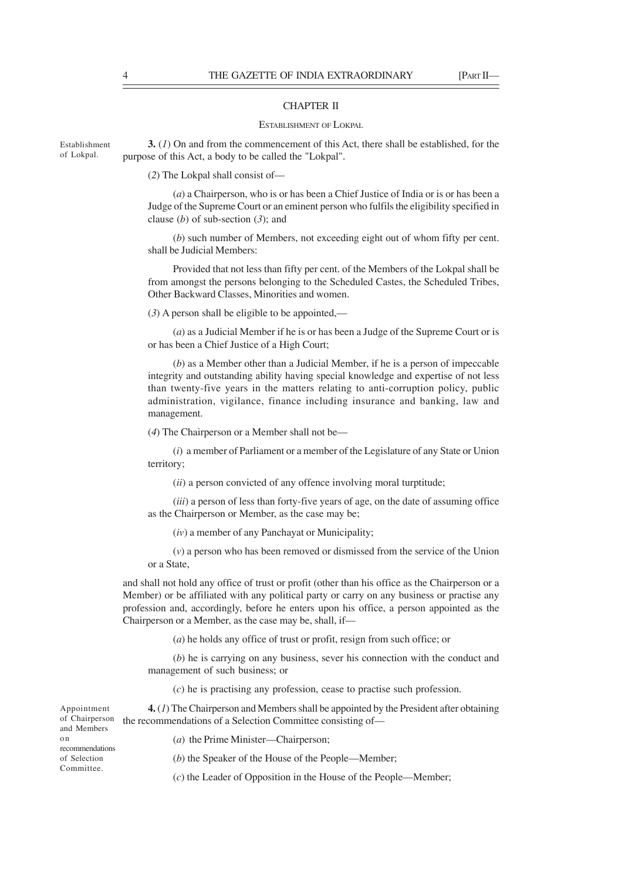## CHAPTER II

#### ESTABLISHMENT OF LOKPAL

**3.** (*1*) On and from the commencement of this Act, there shall be established, for the purpose of this Act, a body to be called the "Lokpal". Establishment

(*2*) The Lokpal shall consist of—

(*a*) a Chairperson, who is or has been a Chief Justice of India or is or has been a Judge of the Supreme Court or an eminent person who fulfils the eligibility specified in clause (*b*) of sub-section (*3*); and

(*b*) such number of Members, not exceeding eight out of whom fifty per cent. shall be Judicial Members:

Provided that not less than fifty per cent. of the Members of the Lokpal shall be from amongst the persons belonging to the Scheduled Castes, the Scheduled Tribes, Other Backward Classes, Minorities and women.

(*3*) A person shall be eligible to be appointed,—

(*a*) as a Judicial Member if he is or has been a Judge of the Supreme Court or is or has been a Chief Justice of a High Court;

(*b*) as a Member other than a Judicial Member, if he is a person of impeccable integrity and outstanding ability having special knowledge and expertise of not less than twenty-five years in the matters relating to anti-corruption policy, public administration, vigilance, finance including insurance and banking, law and management.

(*4*) The Chairperson or a Member shall not be—

(*i*) a member of Parliament or a member of the Legislature of any State or Union territory;

(*ii*) a person convicted of any offence involving moral turptitude;

(*iii*) a person of less than forty-five years of age, on the date of assuming office as the Chairperson or Member, as the case may be;

(*iv*) a member of any Panchayat or Municipality;

(*v*) a person who has been removed or dismissed from the service of the Union or a State,

and shall not hold any office of trust or profit (other than his office as the Chairperson or a Member) or be affiliated with any political party or carry on any business or practise any profession and, accordingly, before he enters upon his office, a person appointed as the Chairperson or a Member, as the case may be, shall, if—

(*a*) he holds any office of trust or profit, resign from such office; or

(*b*) he is carrying on any business, sever his connection with the conduct and management of such business; or

(*c*) he is practising any profession, cease to practise such profession.

**4.** (*1*) The Chairperson and Members shall be appointed by the President after obtaining of Chairperson the recommendations of a Selection Committee consisting of-Appointment

and Members on recommendations of Selection Committee.

(*a*) the Prime Minister—Chairperson;

(*b*) the Speaker of the House of the People—Member;

(*c*) the Leader of Opposition in the House of the People—Member;

of Lokpal.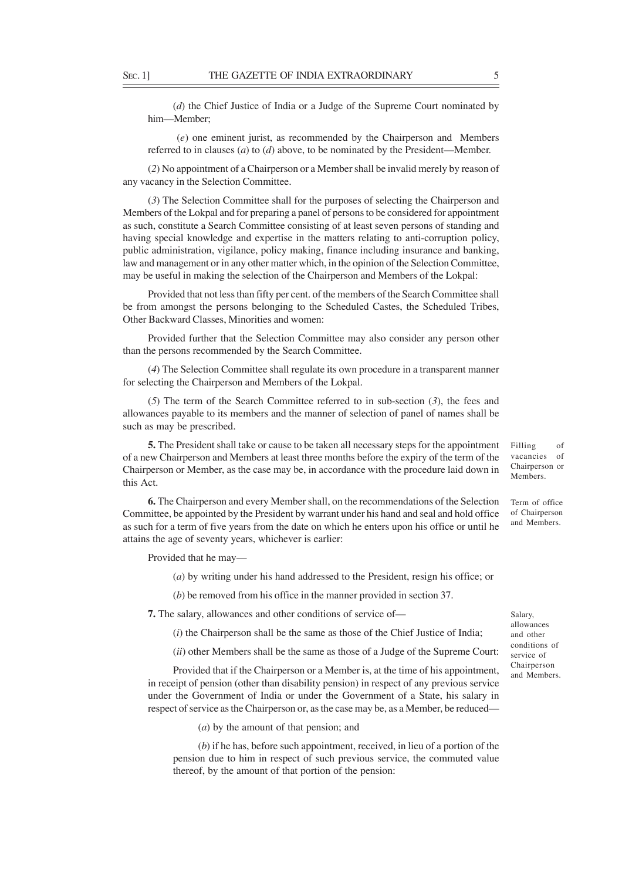(*d*) the Chief Justice of India or a Judge of the Supreme Court nominated by him—Member;

 (*e*) one eminent jurist, as recommended by the Chairperson and Members referred to in clauses (*a*) to (*d*) above, to be nominated by the President—Member.

(*2*) No appointment of a Chairperson or a Member shall be invalid merely by reason of any vacancy in the Selection Committee.

(*3*) The Selection Committee shall for the purposes of selecting the Chairperson and Members of the Lokpal and for preparing a panel of persons to be considered for appointment as such, constitute a Search Committee consisting of at least seven persons of standing and having special knowledge and expertise in the matters relating to anti-corruption policy, public administration, vigilance, policy making, finance including insurance and banking, law and management or in any other matter which, in the opinion of the Selection Committee, may be useful in making the selection of the Chairperson and Members of the Lokpal:

Provided that not less than fifty per cent. of the members of the Search Committee shall be from amongst the persons belonging to the Scheduled Castes, the Scheduled Tribes, Other Backward Classes, Minorities and women:

Provided further that the Selection Committee may also consider any person other than the persons recommended by the Search Committee.

(*4*) The Selection Committee shall regulate its own procedure in a transparent manner for selecting the Chairperson and Members of the Lokpal.

(*5*) The term of the Search Committee referred to in sub-section (*3*), the fees and allowances payable to its members and the manner of selection of panel of names shall be such as may be prescribed.

**5.** The President shall take or cause to be taken all necessary steps for the appointment of a new Chairperson and Members at least three months before the expiry of the term of the Chairperson or Member, as the case may be, in accordance with the procedure laid down in this Act.

**6.** The Chairperson and every Member shall, on the recommendations of the Selection Committee, be appointed by the President by warrant under his hand and seal and hold office as such for a term of five years from the date on which he enters upon his office or until he attains the age of seventy years, whichever is earlier:

Provided that he may—

(*a*) by writing under his hand addressed to the President, resign his office; or

(*b*) be removed from his office in the manner provided in section 37.

**7.** The salary, allowances and other conditions of service of—

(*i*) the Chairperson shall be the same as those of the Chief Justice of India;

(*ii*) other Members shall be the same as those of a Judge of the Supreme Court:

Provided that if the Chairperson or a Member is, at the time of his appointment, in receipt of pension (other than disability pension) in respect of any previous service under the Government of India or under the Government of a State, his salary in respect of service as the Chairperson or, as the case may be, as a Member, be reduced—

(*a*) by the amount of that pension; and

(*b*) if he has, before such appointment, received, in lieu of a portion of the pension due to him in respect of such previous service, the commuted value thereof, by the amount of that portion of the pension:

Filling of vacancies of Chairperson or Members.

Term of office of Chairperson and Members.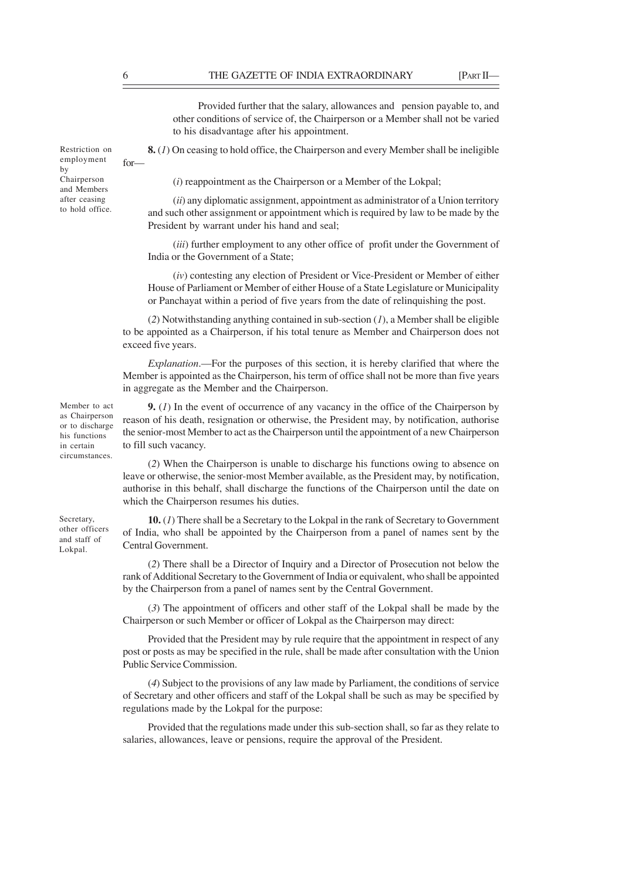for—

Restriction on employment

Chairperson and Members after ceasing to hold office.

by

Provided further that the salary, allowances and pension payable to, and other conditions of service of, the Chairperson or a Member shall not be varied to his disadvantage after his appointment.

**8.** (*1*) On ceasing to hold office, the Chairperson and every Member shall be ineligible

(*i*) reappointment as the Chairperson or a Member of the Lokpal;

(*ii*) any diplomatic assignment, appointment as administrator of a Union territory and such other assignment or appointment which is required by law to be made by the President by warrant under his hand and seal;

(*iii*) further employment to any other office of profit under the Government of India or the Government of a State;

(*iv*) contesting any election of President or Vice-President or Member of either House of Parliament or Member of either House of a State Legislature or Municipality or Panchayat within a period of five years from the date of relinquishing the post.

(*2*) Notwithstanding anything contained in sub-section (*1*), a Member shall be eligible to be appointed as a Chairperson, if his total tenure as Member and Chairperson does not exceed five years.

*Explanation*.—For the purposes of this section, it is hereby clarified that where the Member is appointed as the Chairperson, his term of office shall not be more than five years in aggregate as the Member and the Chairperson.

**9.** (*1*) In the event of occurrence of any vacancy in the office of the Chairperson by reason of his death, resignation or otherwise, the President may, by notification, authorise the senior-most Member to act as the Chairperson until the appointment of a new Chairperson to fill such vacancy.

(*2*) When the Chairperson is unable to discharge his functions owing to absence on leave or otherwise, the senior-most Member available, as the President may, by notification, authorise in this behalf, shall discharge the functions of the Chairperson until the date on which the Chairperson resumes his duties.

**10.** (*1*) There shall be a Secretary to the Lokpal in the rank of Secretary to Government of India, who shall be appointed by the Chairperson from a panel of names sent by the Central Government.

(*2*) There shall be a Director of Inquiry and a Director of Prosecution not below the rank of Additional Secretary to the Government of India or equivalent, who shall be appointed by the Chairperson from a panel of names sent by the Central Government.

(*3*) The appointment of officers and other staff of the Lokpal shall be made by the Chairperson or such Member or officer of Lokpal as the Chairperson may direct:

Provided that the President may by rule require that the appointment in respect of any post or posts as may be specified in the rule, shall be made after consultation with the Union Public Service Commission.

(*4*) Subject to the provisions of any law made by Parliament, the conditions of service of Secretary and other officers and staff of the Lokpal shall be such as may be specified by regulations made by the Lokpal for the purpose:

Provided that the regulations made under this sub-section shall, so far as they relate to salaries, allowances, leave or pensions, require the approval of the President.

Member to act as Chairperson or to discharge his functions in certain circumstances.

Secretary, other officers and staff of Lokpal.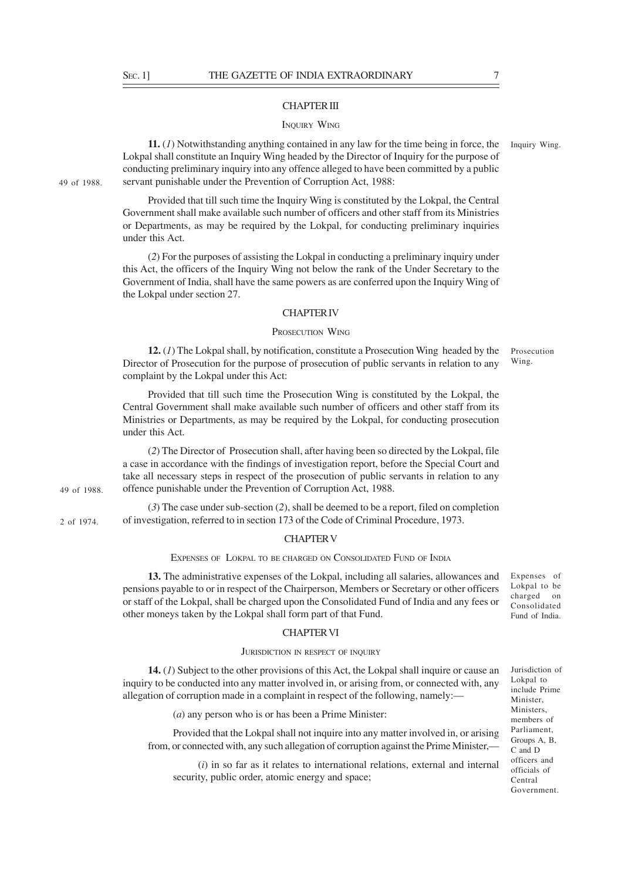49 of 1988.

49 of 1988.

2 of 1974.

## CHAPTER III

#### INQUIRY WING

**11.** (*1*) Notwithstanding anything contained in any law for the time being in force, the Lokpal shall constitute an Inquiry Wing headed by the Director of Inquiry for the purpose of conducting preliminary inquiry into any offence alleged to have been committed by a public servant punishable under the Prevention of Corruption Act, 1988:

Provided that till such time the Inquiry Wing is constituted by the Lokpal, the Central Government shall make available such number of officers and other staff from its Ministries or Departments, as may be required by the Lokpal, for conducting preliminary inquiries under this Act.

(*2*) For the purposes of assisting the Lokpal in conducting a preliminary inquiry under this Act, the officers of the Inquiry Wing not below the rank of the Under Secretary to the Government of India, shall have the same powers as are conferred upon the Inquiry Wing of the Lokpal under section 27.

#### CHAPTER IV

## PROSECUTION WING

**12.** (*1*) The Lokpal shall, by notification, constitute a Prosecution Wing headed by the Director of Prosecution for the purpose of prosecution of public servants in relation to any complaint by the Lokpal under this Act:

Provided that till such time the Prosecution Wing is constituted by the Lokpal, the Central Government shall make available such number of officers and other staff from its Ministries or Departments, as may be required by the Lokpal, for conducting prosecution under this Act.

(*2*) The Director of Prosecution shall, after having been so directed by the Lokpal, file a case in accordance with the findings of investigation report, before the Special Court and take all necessary steps in respect of the prosecution of public servants in relation to any offence punishable under the Prevention of Corruption Act, 1988.

(*3*) The case under sub-section (*2*), shall be deemed to be a report, filed on completion of investigation, referred to in section 173 of the Code of Criminal Procedure, 1973.

#### CHAPTER V

EXPENSES OF LOKPAL TO BE CHARGED ON CONSOLIDATED FUND OF INDIA

**13.** The administrative expenses of the Lokpal, including all salaries, allowances and pensions payable to or in respect of the Chairperson, Members or Secretary or other officers or staff of the Lokpal, shall be charged upon the Consolidated Fund of India and any fees or other moneys taken by the Lokpal shall form part of that Fund.

#### CHAPTER VI

## JURISDICTION IN RESPECT OF INQUIRY

**14.** (*1*) Subject to the other provisions of this Act, the Lokpal shall inquire or cause an inquiry to be conducted into any matter involved in, or arising from, or connected with, any allegation of corruption made in a complaint in respect of the following, namely:—

(*a*) any person who is or has been a Prime Minister:

Provided that the Lokpal shall not inquire into any matter involved in, or arising from, or connected with, any such allegation of corruption against the Prime Minister,—

(*i*) in so far as it relates to international relations, external and internal security, public order, atomic energy and space;

Expenses of Lokpal to be charged on Consolidated

Inquiry Wing.

Prosecution Wing.

Fund of India.

Jurisdiction of Lokpal to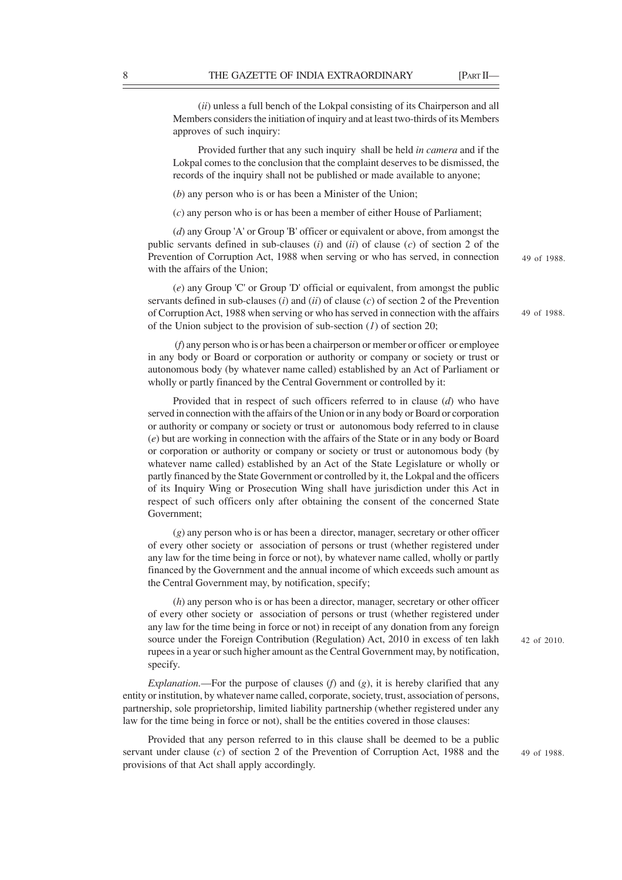(*ii*) unless a full bench of the Lokpal consisting of its Chairperson and all Members considers the initiation of inquiry and at least two-thirds of its Members approves of such inquiry:

Provided further that any such inquiry shall be held *in camera* and if the Lokpal comes to the conclusion that the complaint deserves to be dismissed, the records of the inquiry shall not be published or made available to anyone;

(*b*) any person who is or has been a Minister of the Union;

(*c*) any person who is or has been a member of either House of Parliament;

(*d*) any Group 'A' or Group 'B' officer or equivalent or above, from amongst the public servants defined in sub-clauses (*i*) and (*ii*) of clause (*c*) of section 2 of the Prevention of Corruption Act, 1988 when serving or who has served, in connection with the affairs of the Union;

(*e*) any Group 'C' or Group 'D' official or equivalent, from amongst the public servants defined in sub-clauses (*i*) and (*ii*) of clause (*c*) of section 2 of the Prevention of Corruption Act, 1988 when serving or who has served in connection with the affairs of the Union subject to the provision of sub-section (*1*) of section 20;

 (*f*) any person who is or has been a chairperson or member or officer or employee in any body or Board or corporation or authority or company or society or trust or autonomous body (by whatever name called) established by an Act of Parliament or wholly or partly financed by the Central Government or controlled by it:

Provided that in respect of such officers referred to in clause (*d*) who have served in connection with the affairs of the Union or in any body or Board or corporation or authority or company or society or trust or autonomous body referred to in clause (*e*) but are working in connection with the affairs of the State or in any body or Board or corporation or authority or company or society or trust or autonomous body (by whatever name called) established by an Act of the State Legislature or wholly or partly financed by the State Government or controlled by it, the Lokpal and the officers of its Inquiry Wing or Prosecution Wing shall have jurisdiction under this Act in respect of such officers only after obtaining the consent of the concerned State Government;

(*g*) any person who is or has been a director, manager, secretary or other officer of every other society or association of persons or trust (whether registered under any law for the time being in force or not), by whatever name called, wholly or partly financed by the Government and the annual income of which exceeds such amount as the Central Government may, by notification, specify;

(*h*) any person who is or has been a director, manager, secretary or other officer of every other society or association of persons or trust (whether registered under any law for the time being in force or not) in receipt of any donation from any foreign source under the Foreign Contribution (Regulation) Act, 2010 in excess of ten lakh rupees in a year or such higher amount as the Central Government may, by notification, specify.

*Explanation.*—For the purpose of clauses ( $f$ ) and ( $g$ ), it is hereby clarified that any entity or institution, by whatever name called, corporate, society, trust, association of persons, partnership, sole proprietorship, limited liability partnership (whether registered under any law for the time being in force or not), shall be the entities covered in those clauses:

Provided that any person referred to in this clause shall be deemed to be a public servant under clause (*c*) of section 2 of the Prevention of Corruption Act, 1988 and the provisions of that Act shall apply accordingly.

42 of 2010.

49 of 1988.

49 of 1988.

49 of 1988.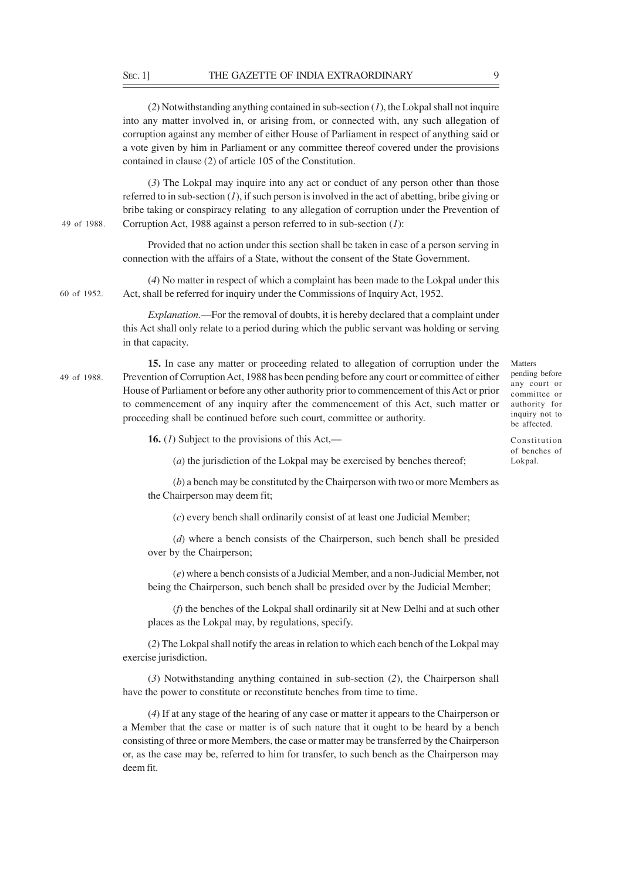(*2*) Notwithstanding anything contained in sub-section (*1*), the Lokpal shall not inquire into any matter involved in, or arising from, or connected with, any such allegation of corruption against any member of either House of Parliament in respect of anything said or a vote given by him in Parliament or any committee thereof covered under the provisions contained in clause (2) of article 105 of the Constitution.

(*3*) The Lokpal may inquire into any act or conduct of any person other than those referred to in sub-section  $(I)$ , if such person is involved in the act of abetting, bribe giving or bribe taking or conspiracy relating to any allegation of corruption under the Prevention of Corruption Act, 1988 against a person referred to in sub-section (*1*): 49 of 1988.

> Provided that no action under this section shall be taken in case of a person serving in connection with the affairs of a State, without the consent of the State Government.

(*4*) No matter in respect of which a complaint has been made to the Lokpal under this Act, shall be referred for inquiry under the Commissions of Inquiry Act, 1952. 60 of 1952.

> *Explanation.*—For the removal of doubts, it is hereby declared that a complaint under this Act shall only relate to a period during which the public servant was holding or serving in that capacity.

**15.** In case any matter or proceeding related to allegation of corruption under the Prevention of Corruption Act, 1988 has been pending before any court or committee of either House of Parliament or before any other authority prior to commencement of this Act or prior to commencement of any inquiry after the commencement of this Act, such matter or proceeding shall be continued before such court, committee or authority. 49 of 1988.

Matters pending before any court or committee or authority for inquiry not to be affected.

Constitution of benches of Lokpal.

**16.** (*1*) Subject to the provisions of this Act,—

(*a*) the jurisdiction of the Lokpal may be exercised by benches thereof;

(*b*) a bench may be constituted by the Chairperson with two or more Members as the Chairperson may deem fit;

(*c*) every bench shall ordinarily consist of at least one Judicial Member;

(*d*) where a bench consists of the Chairperson, such bench shall be presided over by the Chairperson;

(*e*) where a bench consists of a Judicial Member, and a non-Judicial Member, not being the Chairperson, such bench shall be presided over by the Judicial Member;

(*f*) the benches of the Lokpal shall ordinarily sit at New Delhi and at such other places as the Lokpal may, by regulations, specify.

(*2*) The Lokpal shall notify the areas in relation to which each bench of the Lokpal may exercise jurisdiction.

(*3*) Notwithstanding anything contained in sub-section (*2*), the Chairperson shall have the power to constitute or reconstitute benches from time to time.

(*4*) If at any stage of the hearing of any case or matter it appears to the Chairperson or a Member that the case or matter is of such nature that it ought to be heard by a bench consisting of three or more Members, the case or matter may be transferred by the Chairperson or, as the case may be, referred to him for transfer, to such bench as the Chairperson may deem fit.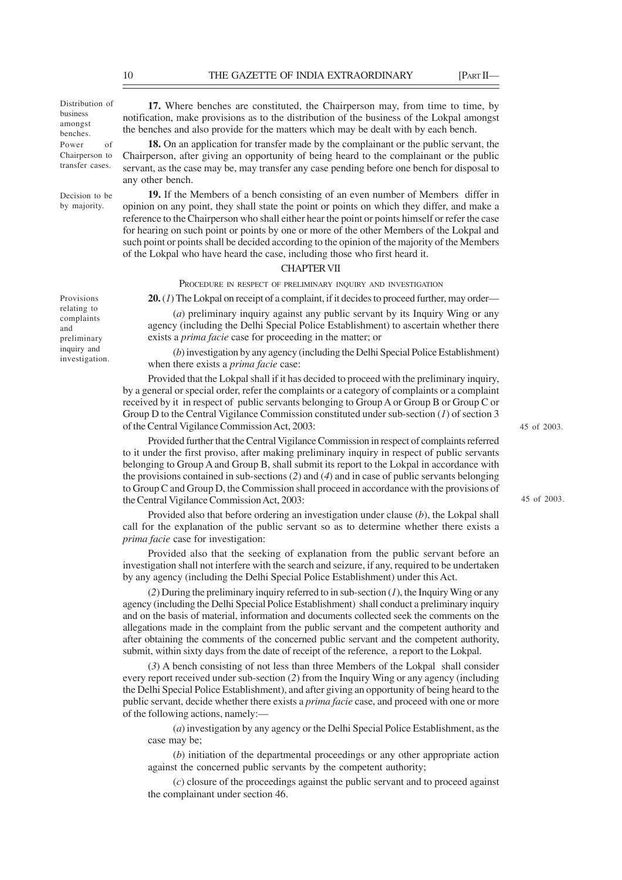Distribution of business amongst benches. Power of Chairperson to transfer cases.

Decision to be by majority.

Provisions relating to complaints and preliminary inquiry and investigation.

**17.** Where benches are constituted, the Chairperson may, from time to time, by notification, make provisions as to the distribution of the business of the Lokpal amongst the benches and also provide for the matters which may be dealt with by each bench.

**18.** On an application for transfer made by the complainant or the public servant, the Chairperson, after giving an opportunity of being heard to the complainant or the public servant, as the case may be, may transfer any case pending before one bench for disposal to any other bench.

**19.** If the Members of a bench consisting of an even number of Members differ in opinion on any point, they shall state the point or points on which they differ, and make a reference to the Chairperson who shall either hear the point or points himself or refer the case for hearing on such point or points by one or more of the other Members of the Lokpal and such point or points shall be decided according to the opinion of the majority of the Members of the Lokpal who have heard the case, including those who first heard it.

## CHAPTER VII

PROCEDURE IN RESPECT OF PRELIMINARY INQUIRY AND INVESTIGATION

**20.** (*1*) The Lokpal on receipt of a complaint, if it decides to proceed further, may order—

(*a*) preliminary inquiry against any public servant by its Inquiry Wing or any agency (including the Delhi Special Police Establishment) to ascertain whether there exists a *prima facie* case for proceeding in the matter; or

(*b*) investigation by any agency (including the Delhi Special Police Establishment) when there exists a *prima facie* case:

Provided that the Lokpal shall if it has decided to proceed with the preliminary inquiry, by a general or special order, refer the complaints or a category of complaints or a complaint received by it in respect of public servants belonging to Group A or Group B or Group C or Group D to the Central Vigilance Commission constituted under sub-section (*1*) of section 3 of the Central Vigilance Commission Act, 2003:

Provided further that the Central Vigilance Commission in respect of complaints referred to it under the first proviso, after making preliminary inquiry in respect of public servants belonging to Group A and Group B, shall submit its report to the Lokpal in accordance with the provisions contained in sub-sections (*2*) and (*4*) and in case of public servants belonging to Group C and Group D, the Commission shall proceed in accordance with the provisions of the Central Vigilance Commission Act, 2003:

Provided also that before ordering an investigation under clause (*b*), the Lokpal shall call for the explanation of the public servant so as to determine whether there exists a *prima facie* case for investigation:

Provided also that the seeking of explanation from the public servant before an investigation shall not interfere with the search and seizure, if any, required to be undertaken by any agency (including the Delhi Special Police Establishment) under this Act.

(*2*) During the preliminary inquiry referred to in sub-section (*1*), the Inquiry Wing or any agency (including the Delhi Special Police Establishment) shall conduct a preliminary inquiry and on the basis of material, information and documents collected seek the comments on the allegations made in the complaint from the public servant and the competent authority and after obtaining the comments of the concerned public servant and the competent authority, submit, within sixty days from the date of receipt of the reference, a report to the Lokpal.

(*3*) A bench consisting of not less than three Members of the Lokpal shall consider every report received under sub-section (*2*) from the Inquiry Wing or any agency (including the Delhi Special Police Establishment), and after giving an opportunity of being heard to the public servant, decide whether there exists a *prima facie* case, and proceed with one or more of the following actions, namely:—

(*a*) investigation by any agency or the Delhi Special Police Establishment, as the case may be;

(*b*) initiation of the departmental proceedings or any other appropriate action against the concerned public servants by the competent authority;

(*c*) closure of the proceedings against the public servant and to proceed against the complainant under section 46.

45 of 2003.

45 of 2003.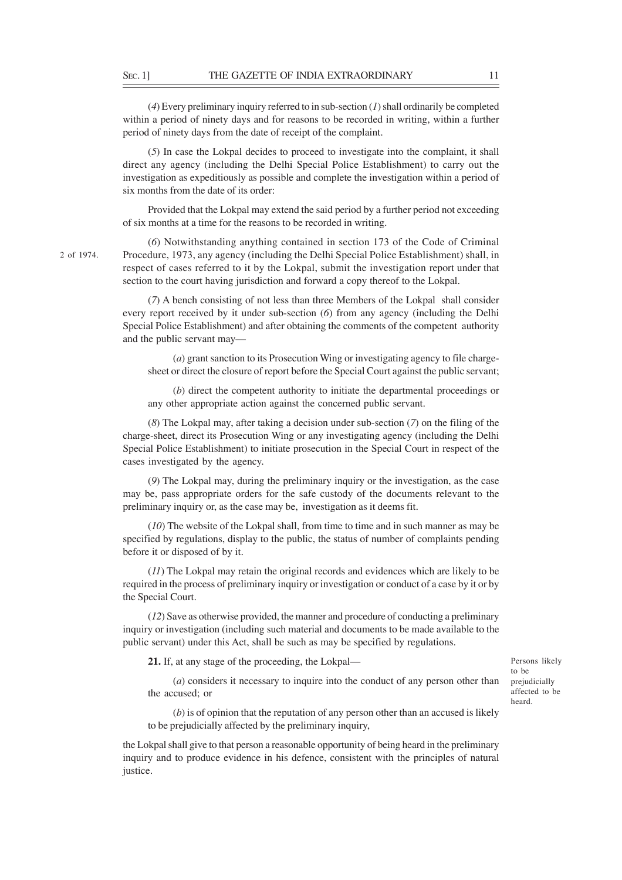(*4*) Every preliminary inquiry referred to in sub-section (*1*) shall ordinarily be completed within a period of ninety days and for reasons to be recorded in writing, within a further period of ninety days from the date of receipt of the complaint.

(*5*) In case the Lokpal decides to proceed to investigate into the complaint, it shall direct any agency (including the Delhi Special Police Establishment) to carry out the investigation as expeditiously as possible and complete the investigation within a period of six months from the date of its order:

Provided that the Lokpal may extend the said period by a further period not exceeding of six months at a time for the reasons to be recorded in writing.

(*6*) Notwithstanding anything contained in section 173 of the Code of Criminal Procedure, 1973, any agency (including the Delhi Special Police Establishment) shall, in respect of cases referred to it by the Lokpal, submit the investigation report under that section to the court having jurisdiction and forward a copy thereof to the Lokpal.

(*7*) A bench consisting of not less than three Members of the Lokpal shall consider every report received by it under sub-section (*6*) from any agency (including the Delhi Special Police Establishment) and after obtaining the comments of the competent authority and the public servant may—

(*a*) grant sanction to its Prosecution Wing or investigating agency to file chargesheet or direct the closure of report before the Special Court against the public servant;

(*b*) direct the competent authority to initiate the departmental proceedings or any other appropriate action against the concerned public servant.

(*8*) The Lokpal may, after taking a decision under sub-section (*7*) on the filing of the charge-sheet, direct its Prosecution Wing or any investigating agency (including the Delhi Special Police Establishment) to initiate prosecution in the Special Court in respect of the cases investigated by the agency.

(*9*) The Lokpal may, during the preliminary inquiry or the investigation, as the case may be, pass appropriate orders for the safe custody of the documents relevant to the preliminary inquiry or, as the case may be, investigation as it deems fit.

(*10*) The website of the Lokpal shall, from time to time and in such manner as may be specified by regulations, display to the public, the status of number of complaints pending before it or disposed of by it.

(*11*) The Lokpal may retain the original records and evidences which are likely to be required in the process of preliminary inquiry or investigation or conduct of a case by it or by the Special Court.

(*12*) Save as otherwise provided, the manner and procedure of conducting a preliminary inquiry or investigation (including such material and documents to be made available to the public servant) under this Act, shall be such as may be specified by regulations.

**21.** If, at any stage of the proceeding, the Lokpal—

(*a*) considers it necessary to inquire into the conduct of any person other than the accused; or

Persons likely to be prejudicially affected to be heard.

(*b*) is of opinion that the reputation of any person other than an accused is likely to be prejudicially affected by the preliminary inquiry,

the Lokpal shall give to that person a reasonable opportunity of being heard in the preliminary inquiry and to produce evidence in his defence, consistent with the principles of natural justice.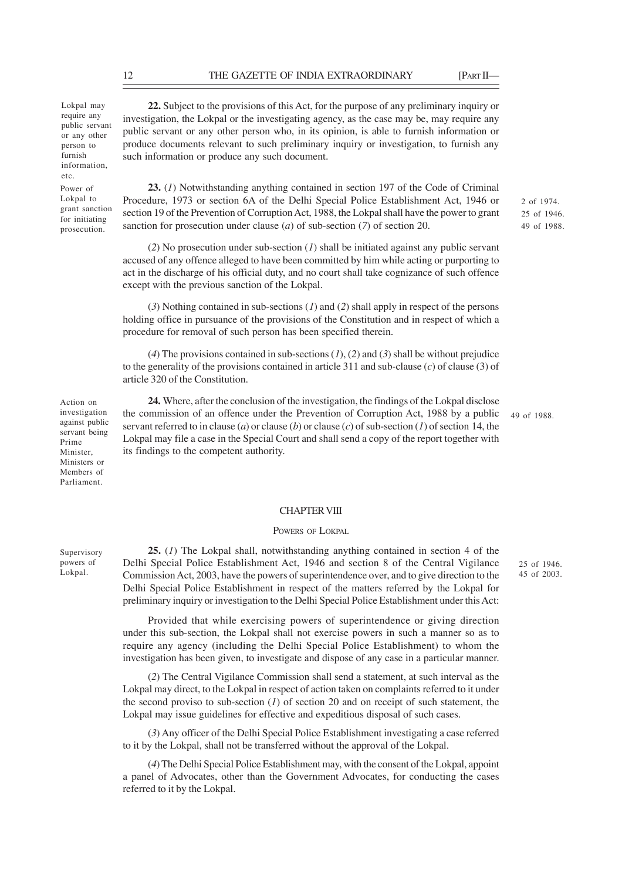Lokpal may require any public servant or any other person to furnish information, etc.

Power of Lokpal to grant sanction for initiating prosecution.

**22.** Subject to the provisions of this Act, for the purpose of any preliminary inquiry or investigation, the Lokpal or the investigating agency, as the case may be, may require any public servant or any other person who, in its opinion, is able to furnish information or produce documents relevant to such preliminary inquiry or investigation, to furnish any such information or produce any such document.

**23.** (*1*) Notwithstanding anything contained in section 197 of the Code of Criminal Procedure, 1973 or section 6A of the Delhi Special Police Establishment Act, 1946 or section 19 of the Prevention of Corruption Act, 1988, the Lokpal shall have the power to grant sanction for prosecution under clause (*a*) of sub-section (*7*) of section 20.

(*2*) No prosecution under sub-section (*1*) shall be initiated against any public servant accused of any offence alleged to have been committed by him while acting or purporting to act in the discharge of his official duty, and no court shall take cognizance of such offence except with the previous sanction of the Lokpal.

(*3*) Nothing contained in sub-sections (*1*) and (*2*) shall apply in respect of the persons holding office in pursuance of the provisions of the Constitution and in respect of which a procedure for removal of such person has been specified therein.

(*4*) The provisions contained in sub-sections (*1*), (*2*) and (*3*) shall be without prejudice to the generality of the provisions contained in article 311 and sub-clause (*c*) of clause (3) of article 320 of the Constitution.

**24.** Where, after the conclusion of the investigation, the findings of the Lokpal disclose the commission of an offence under the Prevention of Corruption Act, 1988 by a public servant referred to in clause (*a*) or clause (*b*) or clause (*c*) of sub-section (*1*) of section 14, the Lokpal may file a case in the Special Court and shall send a copy of the report together with its findings to the competent authority.

49 of 1988.

2 of 1974. 25 of 1946. 49 of 1988.

## CHAPTER VIII

## POWERS OF LOKPAL

**25.** (*1*) The Lokpal shall, notwithstanding anything contained in section 4 of the Delhi Special Police Establishment Act, 1946 and section 8 of the Central Vigilance Commission Act, 2003, have the powers of superintendence over, and to give direction to the Delhi Special Police Establishment in respect of the matters referred by the Lokpal for preliminary inquiry or investigation to the Delhi Special Police Establishment under this Act:

25 of 1946. 45 of 2003.

Provided that while exercising powers of superintendence or giving direction under this sub-section, the Lokpal shall not exercise powers in such a manner so as to require any agency (including the Delhi Special Police Establishment) to whom the investigation has been given, to investigate and dispose of any case in a particular manner.

(*2*) The Central Vigilance Commission shall send a statement, at such interval as the Lokpal may direct, to the Lokpal in respect of action taken on complaints referred to it under the second proviso to sub-section (*1*) of section 20 and on receipt of such statement, the Lokpal may issue guidelines for effective and expeditious disposal of such cases.

(*3*) Any officer of the Delhi Special Police Establishment investigating a case referred to it by the Lokpal, shall not be transferred without the approval of the Lokpal.

(*4*) The Delhi Special Police Establishment may, with the consent of the Lokpal, appoint a panel of Advocates, other than the Government Advocates, for conducting the cases referred to it by the Lokpal.

Supervisory powers of Lokpal.

Action on investigation against public servant being Prime Minister, Ministers or Members of Parliament.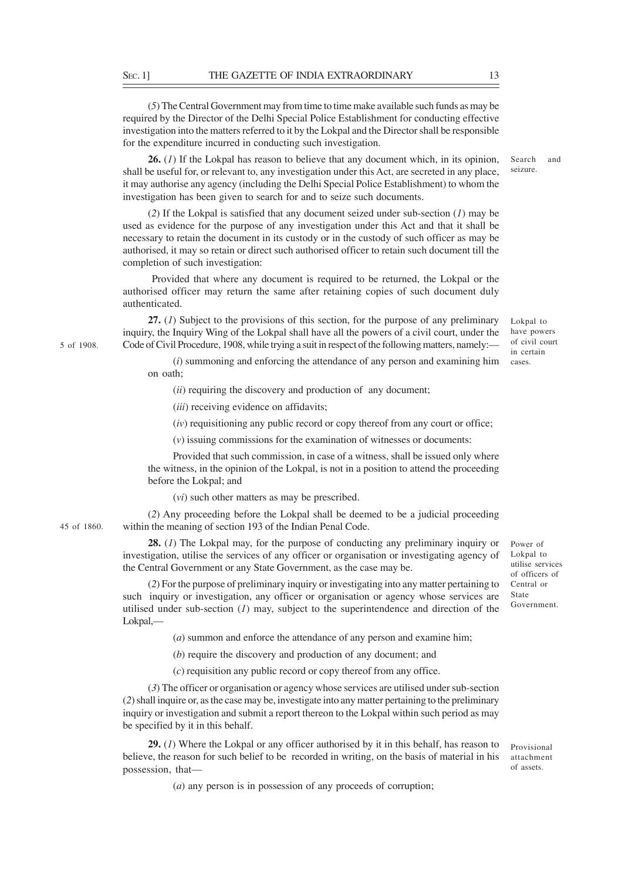(*5*) The Central Government may from time to time make available such funds as may be required by the Director of the Delhi Special Police Establishment for conducting effective investigation into the matters referred to it by the Lokpal and the Director shall be responsible for the expenditure incurred in conducting such investigation.

**26.** (*1*) If the Lokpal has reason to believe that any document which, in its opinion, shall be useful for, or relevant to, any investigation under this Act, are secreted in any place, it may authorise any agency (including the Delhi Special Police Establishment) to whom the investigation has been given to search for and to seize such documents.

(*2*) If the Lokpal is satisfied that any document seized under sub-section (*1*) may be used as evidence for the purpose of any investigation under this Act and that it shall be necessary to retain the document in its custody or in the custody of such officer as may be authorised, it may so retain or direct such authorised officer to retain such document till the completion of such investigation:

 Provided that where any document is required to be returned, the Lokpal or the authorised officer may return the same after retaining copies of such document duly authenticated.

**27.** (*1*) Subject to the provisions of this section, for the purpose of any preliminary inquiry, the Inquiry Wing of the Lokpal shall have all the powers of a civil court, under the Code of Civil Procedure, 1908, while trying a suit in respect of the following matters, namely:—

(*i*) summoning and enforcing the attendance of any person and examining him on oath;

(*ii*) requiring the discovery and production of any document;

(*iii*) receiving evidence on affidavits;

(*iv*) requisitioning any public record or copy thereof from any court or office;

(*v*) issuing commissions for the examination of witnesses or documents:

Provided that such commission, in case of a witness, shall be issued only where the witness, in the opinion of the Lokpal, is not in a position to attend the proceeding before the Lokpal; and

(*vi*) such other matters as may be prescribed.

(*2*) Any proceeding before the Lokpal shall be deemed to be a judicial proceeding within the meaning of section 193 of the Indian Penal Code.

**28.** (*1*) The Lokpal may, for the purpose of conducting any preliminary inquiry or investigation, utilise the services of any officer or organisation or investigating agency of the Central Government or any State Government, as the case may be.

(*2*) For the purpose of preliminary inquiry or investigating into any matter pertaining to such inquiry or investigation, any officer or organisation or agency whose services are utilised under sub-section (*1*) may, subject to the superintendence and direction of the Lokpal,—

(*a*) summon and enforce the attendance of any person and examine him;

(*b*) require the discovery and production of any document; and

(*c*) requisition any public record or copy thereof from any office.

(*3*) The officer or organisation or agency whose services are utilised under sub-section (*2*) shall inquire or, as the case may be, investigate into any matter pertaining to the preliminary inquiry or investigation and submit a report thereon to the Lokpal within such period as may be specified by it in this behalf.

**29.** (*1*) Where the Lokpal or any officer authorised by it in this behalf, has reason to believe, the reason for such belief to be recorded in writing, on the basis of material in his possession, that—

(*a*) any person is in possession of any proceeds of corruption;

Power of Lokpal to utilise services of officers of Central or State Government.

5 of 1908.

Lokpal to have powers of civil court in certain cases.

Provisional attachment of assets.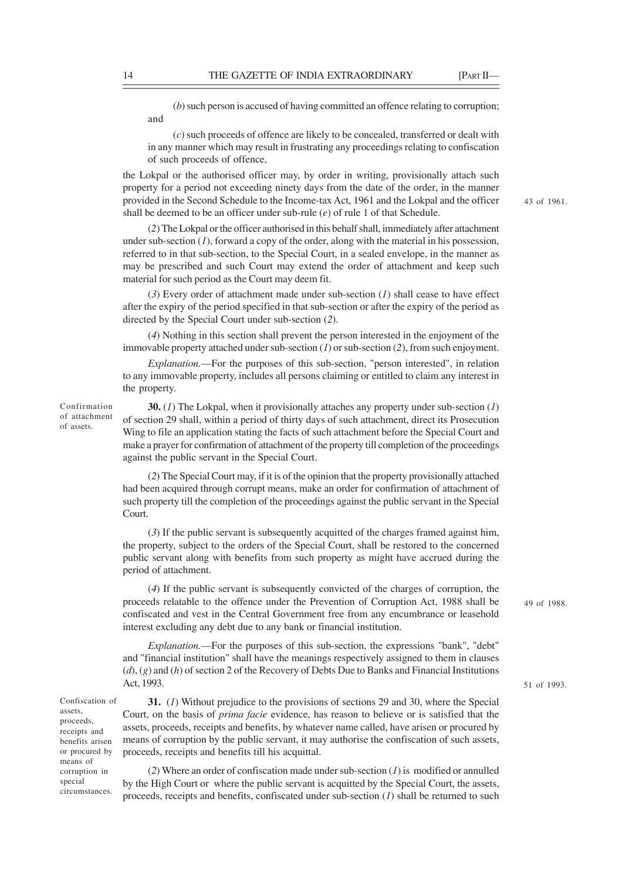(*b*) such person is accused of having committed an offence relating to corruption; and

(*c*) such proceeds of offence are likely to be concealed, transferred or dealt with in any manner which may result in frustrating any proceedings relating to confiscation of such proceeds of offence,

the Lokpal or the authorised officer may, by order in writing, provisionally attach such property for a period not exceeding ninety days from the date of the order, in the manner provided in the Second Schedule to the Income-tax Act, 1961 and the Lokpal and the officer shall be deemed to be an officer under sub-rule (*e*) of rule 1 of that Schedule.

(*2*) The Lokpal or the officer authorised in this behalf shall, immediately after attachment under sub-section (*1*), forward a copy of the order, along with the material in his possession, referred to in that sub-section, to the Special Court, in a sealed envelope, in the manner as may be prescribed and such Court may extend the order of attachment and keep such material for such period as the Court may deem fit.

(*3*) Every order of attachment made under sub-section (*1*) shall cease to have effect after the expiry of the period specified in that sub-section or after the expiry of the period as directed by the Special Court under sub-section (*2*).

(*4*) Nothing in this section shall prevent the person interested in the enjoyment of the immovable property attached under sub-section (*1*) or sub-section (*2*), from such enjoyment.

*Explanation.*—For the purposes of this sub-section, "person interested", in relation to any immovable property, includes all persons claiming or entitled to claim any interest in the property.

Confirmation of attachment of assets.

**30.** (*1*) The Lokpal, when it provisionally attaches any property under sub-section (*1*) of section 29 shall, within a period of thirty days of such attachment, direct its Prosecution Wing to file an application stating the facts of such attachment before the Special Court and make a prayer for confirmation of attachment of the property till completion of the proceedings against the public servant in the Special Court.

(*2*) The Special Court may, if it is of the opinion that the property provisionally attached had been acquired through corrupt means, make an order for confirmation of attachment of such property till the completion of the proceedings against the public servant in the Special Court.

(*3*) If the public servant is subsequently acquitted of the charges framed against him, the property, subject to the orders of the Special Court, shall be restored to the concerned public servant along with benefits from such property as might have accrued during the period of attachment.

(*4*) If the public servant is subsequently convicted of the charges of corruption, the proceeds relatable to the offence under the Prevention of Corruption Act, 1988 shall be confiscated and vest in the Central Government free from any encumbrance or leasehold interest excluding any debt due to any bank or financial institution.

*Explanation.*—For the purposes of this sub-section, the expressions "bank", "debt" and "financial institution" shall have the meanings respectively assigned to them in clauses (*d*), (*g*) and (*h*) of section 2 of the Recovery of Debts Due to Banks and Financial Institutions Act, 1993.

Confiscation of assets, proceeds, receipts and benefits arisen or procured by means of corruption in special circumstances.

**31.** (*1*) Without prejudice to the provisions of sections 29 and 30, where the Special Court, on the basis of *prima facie* evidence, has reason to believe or is satisfied that the assets, proceeds, receipts and benefits, by whatever name called, have arisen or procured by means of corruption by the public servant, it may authorise the confiscation of such assets, proceeds, receipts and benefits till his acquittal.

(*2*) Where an order of confiscation made under sub-section (*1*) is modified or annulled by the High Court or where the public servant is acquitted by the Special Court, the assets, proceeds, receipts and benefits, confiscated under sub-section (*1*) shall be returned to such 49 of 1988.

51 of 1993.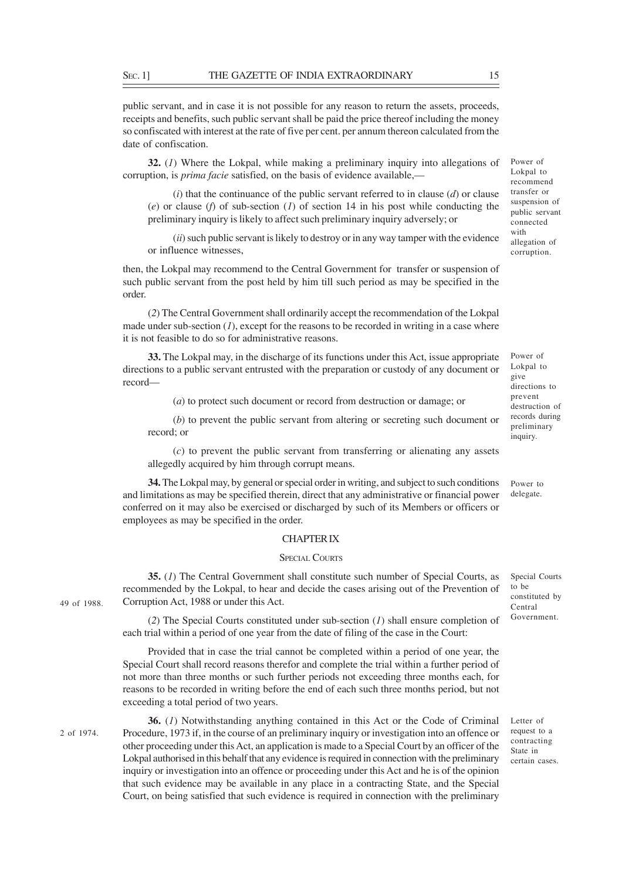public servant, and in case it is not possible for any reason to return the assets, proceeds, receipts and benefits, such public servant shall be paid the price thereof including the money so confiscated with interest at the rate of five per cent. per annum thereon calculated from the date of confiscation.

**32.** (*1*) Where the Lokpal, while making a preliminary inquiry into allegations of corruption, is *prima facie* satisfied, on the basis of evidence available,-

(*i*) that the continuance of the public servant referred to in clause (*d*) or clause (*e*) or clause (*f*) of sub-section (*1*) of section 14 in his post while conducting the preliminary inquiry is likely to affect such preliminary inquiry adversely; or

(*ii*) such public servant is likely to destroy or in any way tamper with the evidence or influence witnesses,

then, the Lokpal may recommend to the Central Government for transfer or suspension of such public servant from the post held by him till such period as may be specified in the order.

(*2*) The Central Government shall ordinarily accept the recommendation of the Lokpal made under sub-section  $(I)$ , except for the reasons to be recorded in writing in a case where it is not feasible to do so for administrative reasons.

**33.** The Lokpal may, in the discharge of its functions under this Act, issue appropriate directions to a public servant entrusted with the preparation or custody of any document or record—

(*a*) to protect such document or record from destruction or damage; or

(*b*) to prevent the public servant from altering or secreting such document or record; or

(*c*) to prevent the public servant from transferring or alienating any assets allegedly acquired by him through corrupt means.

**34.** The Lokpal may, by general or special order in writing, and subject to such conditions and limitations as may be specified therein, direct that any administrative or financial power conferred on it may also be exercised or discharged by such of its Members or officers or employees as may be specified in the order.

### CHAPTER IX

## SPECIAL COURTS

**35.** (*1*) The Central Government shall constitute such number of Special Courts, as recommended by the Lokpal, to hear and decide the cases arising out of the Prevention of Corruption Act, 1988 or under this Act.

(*2*) The Special Courts constituted under sub-section (*1*) shall ensure completion of each trial within a period of one year from the date of filing of the case in the Court:

Provided that in case the trial cannot be completed within a period of one year, the Special Court shall record reasons therefor and complete the trial within a further period of not more than three months or such further periods not exceeding three months each, for reasons to be recorded in writing before the end of each such three months period, but not exceeding a total period of two years.

2 of 1974.

49 of 1988.

**36.** (*1*) Notwithstanding anything contained in this Act or the Code of Criminal Procedure, 1973 if, in the course of an preliminary inquiry or investigation into an offence or other proceeding under this Act, an application is made to a Special Court by an officer of the Lokpal authorised in this behalf that any evidence is required in connection with the preliminary inquiry or investigation into an offence or proceeding under this Act and he is of the opinion that such evidence may be available in any place in a contracting State, and the Special Court, on being satisfied that such evidence is required in connection with the preliminary

Lokpal to recommend transfer or suspension of public servant connected with allegation of corruption.

Power of

Power of Lokpal to give directions to prevent destruction of records during preliminary inquiry.

Power to delegate.

Special Courts to be constituted by Central Government.

Letter of request to a contracting State in certain cases.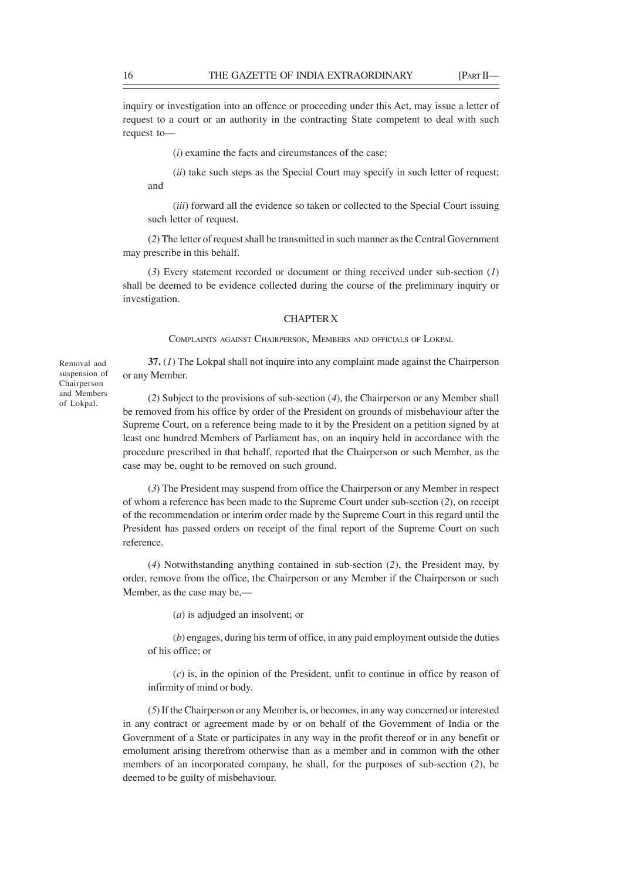inquiry or investigation into an offence or proceeding under this Act, may issue a letter of request to a court or an authority in the contracting State competent to deal with such request to—

(*i*) examine the facts and circumstances of the case;

(*ii*) take such steps as the Special Court may specify in such letter of request; and

(*iii*) forward all the evidence so taken or collected to the Special Court issuing such letter of request.

(*2*) The letter of request shall be transmitted in such manner as the Central Government may prescribe in this behalf.

(*3*) Every statement recorded or document or thing received under sub-section (*1*) shall be deemed to be evidence collected during the course of the preliminary inquiry or investigation.

## CHAPTER X

COMPLAINTS AGAINST CHAIRPERSON, MEMBERS AND OFFICIALS OF LOKPAL

**37.** (*1*) The Lokpal shall not inquire into any complaint made against the Chairperson or any Member.

(*2*) Subject to the provisions of sub-section (*4*), the Chairperson or any Member shall be removed from his office by order of the President on grounds of misbehaviour after the Supreme Court, on a reference being made to it by the President on a petition signed by at least one hundred Members of Parliament has, on an inquiry held in accordance with the procedure prescribed in that behalf, reported that the Chairperson or such Member, as the case may be, ought to be removed on such ground.

(*3*) The President may suspend from office the Chairperson or any Member in respect of whom a reference has been made to the Supreme Court under sub-section (*2*), on receipt of the recommendation or interim order made by the Supreme Court in this regard until the President has passed orders on receipt of the final report of the Supreme Court on such reference.

(*4*) Notwithstanding anything contained in sub-section (*2*), the President may, by order, remove from the office, the Chairperson or any Member if the Chairperson or such Member, as the case may be,—

(*a*) is adjudged an insolvent; or

(*b*) engages, during his term of office, in any paid employment outside the duties of his office; or

(*c*) is, in the opinion of the President, unfit to continue in office by reason of infirmity of mind or body.

(*5*) If the Chairperson or any Member is, or becomes, in any way concerned or interested in any contract or agreement made by or on behalf of the Government of India or the Government of a State or participates in any way in the profit thereof or in any benefit or emolument arising therefrom otherwise than as a member and in common with the other members of an incorporated company, he shall, for the purposes of sub-section (*2*), be deemed to be guilty of misbehaviour.

Removal and suspension of Chairperson and Members of Lokpal.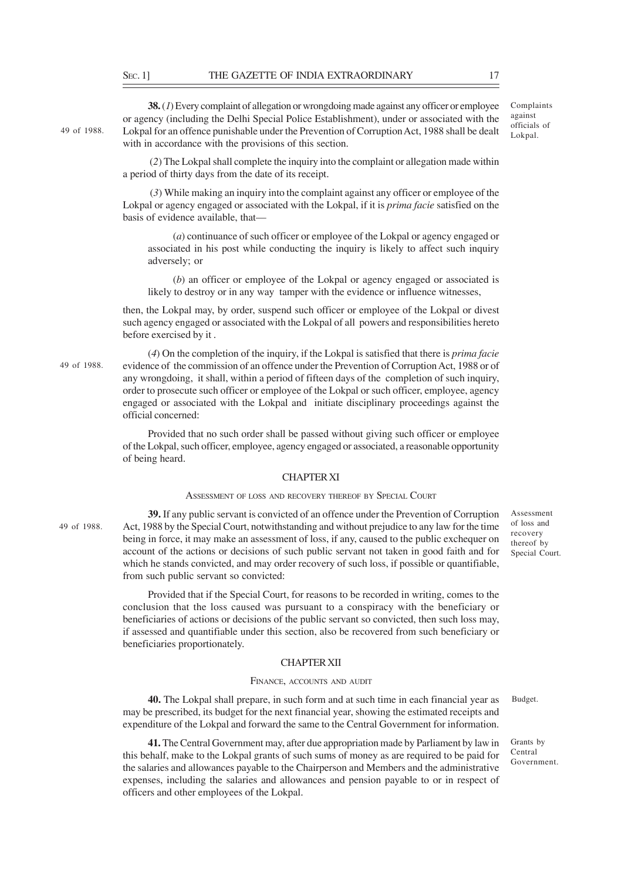**38.** (*1*) Every complaint of allegation or wrongdoing made against any officer or employee or agency (including the Delhi Special Police Establishment), under or associated with the Lokpal for an offence punishable under the Prevention of Corruption Act, 1988 shall be dealt Lokpal. 49 of 1988. with in accordance with the provisions of this section.

Complaints against officials of

 (*2*) The Lokpal shall complete the inquiry into the complaint or allegation made within a period of thirty days from the date of its receipt.

 (*3*) While making an inquiry into the complaint against any officer or employee of the Lokpal or agency engaged or associated with the Lokpal, if it is *prima facie* satisfied on the basis of evidence available, that—

(*a*) continuance of such officer or employee of the Lokpal or agency engaged or associated in his post while conducting the inquiry is likely to affect such inquiry adversely; or

(*b*) an officer or employee of the Lokpal or agency engaged or associated is likely to destroy or in any way tamper with the evidence or influence witnesses,

then, the Lokpal may, by order, suspend such officer or employee of the Lokpal or divest such agency engaged or associated with the Lokpal of all powers and responsibilities hereto before exercised by it .

(*4*) On the completion of the inquiry, if the Lokpal is satisfied that there is *prima facie* evidence of the commission of an offence under the Prevention of Corruption Act, 1988 or of any wrongdoing, it shall, within a period of fifteen days of the completion of such inquiry, order to prosecute such officer or employee of the Lokpal or such officer, employee, agency engaged or associated with the Lokpal and initiate disciplinary proceedings against the official concerned:

Provided that no such order shall be passed without giving such officer or employee of the Lokpal, such officer, employee, agency engaged or associated, a reasonable opportunity of being heard.

## CHAPTER XI

## ASSESSMENT OF LOSS AND RECOVERY THEREOF BY SPECIAL COURT

49 of 1988.

49 of 1988.

**39.** If any public servant is convicted of an offence under the Prevention of Corruption Act, 1988 by the Special Court, notwithstanding and without prejudice to any law for the time being in force, it may make an assessment of loss, if any, caused to the public exchequer on account of the actions or decisions of such public servant not taken in good faith and for which he stands convicted, and may order recovery of such loss, if possible or quantifiable, from such public servant so convicted:

Provided that if the Special Court, for reasons to be recorded in writing, comes to the conclusion that the loss caused was pursuant to a conspiracy with the beneficiary or beneficiaries of actions or decisions of the public servant so convicted, then such loss may, if assessed and quantifiable under this section, also be recovered from such beneficiary or beneficiaries proportionately.

## CHAPTER XII

## FINANCE, ACCOUNTS AND AUDIT

**40.** The Lokpal shall prepare, in such form and at such time in each financial year as may be prescribed, its budget for the next financial year, showing the estimated receipts and expenditure of the Lokpal and forward the same to the Central Government for information.

**41.** The Central Government may, after due appropriation made by Parliament by law in this behalf, make to the Lokpal grants of such sums of money as are required to be paid for the salaries and allowances payable to the Chairperson and Members and the administrative expenses, including the salaries and allowances and pension payable to or in respect of officers and other employees of the Lokpal.

Assessment of loss and recovery thereof by Special Court.

Budget.

Grants by Central Government.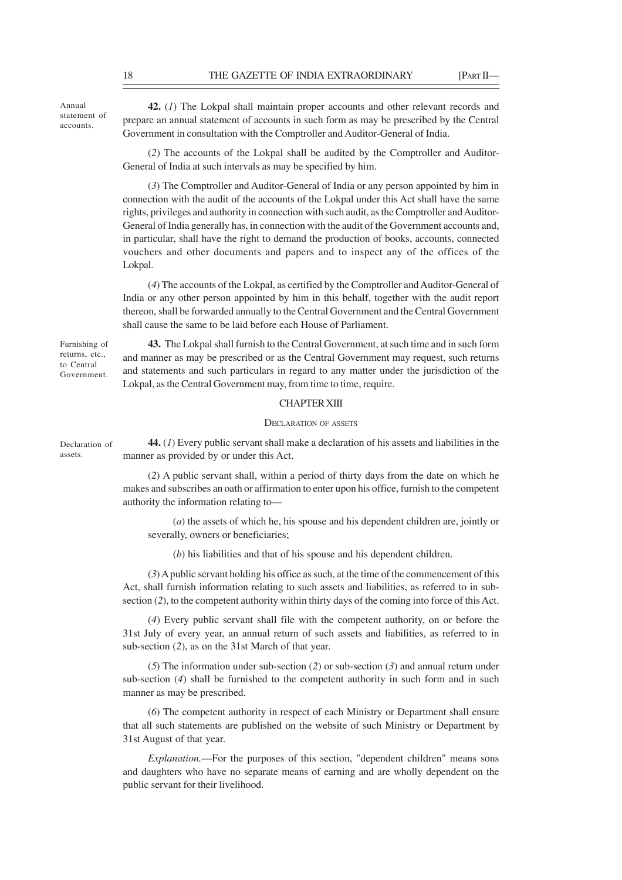Annual statement of accounts.

**42.** (*1*) The Lokpal shall maintain proper accounts and other relevant records and prepare an annual statement of accounts in such form as may be prescribed by the Central Government in consultation with the Comptroller and Auditor-General of India.

(*2*) The accounts of the Lokpal shall be audited by the Comptroller and Auditor-General of India at such intervals as may be specified by him.

(*3*) The Comptroller and Auditor-General of India or any person appointed by him in connection with the audit of the accounts of the Lokpal under this Act shall have the same rights, privileges and authority in connection with such audit, as the Comptroller and Auditor-General of India generally has, in connection with the audit of the Government accounts and, in particular, shall have the right to demand the production of books, accounts, connected vouchers and other documents and papers and to inspect any of the offices of the Lokpal.

(*4*) The accounts of the Lokpal, as certified by the Comptroller and Auditor-General of India or any other person appointed by him in this behalf, together with the audit report thereon, shall be forwarded annually to the Central Government and the Central Government shall cause the same to be laid before each House of Parliament.

Furnishing of returns, etc., to Central Government.

**43.** The Lokpal shall furnish to the Central Government, at such time and in such form and manner as may be prescribed or as the Central Government may request, such returns and statements and such particulars in regard to any matter under the jurisdiction of the Lokpal, as the Central Government may, from time to time, require.

## CHAPTER XIII

## DECLARATION OF ASSETS

Declaration of assets.

**44.** (*1*) Every public servant shall make a declaration of his assets and liabilities in the manner as provided by or under this Act.

(*2*) A public servant shall, within a period of thirty days from the date on which he makes and subscribes an oath or affirmation to enter upon his office, furnish to the competent authority the information relating to—

(*a*) the assets of which he, his spouse and his dependent children are, jointly or severally, owners or beneficiaries;

(*b*) his liabilities and that of his spouse and his dependent children.

(*3*) A public servant holding his office as such, at the time of the commencement of this Act, shall furnish information relating to such assets and liabilities, as referred to in subsection (*2*), to the competent authority within thirty days of the coming into force of this Act.

(*4*) Every public servant shall file with the competent authority, on or before the 31st July of every year, an annual return of such assets and liabilities, as referred to in sub-section (*2*), as on the 31st March of that year.

(*5*) The information under sub-section (*2*) or sub-section (*3*) and annual return under sub-section (*4*) shall be furnished to the competent authority in such form and in such manner as may be prescribed.

(*6*) The competent authority in respect of each Ministry or Department shall ensure that all such statements are published on the website of such Ministry or Department by 31st August of that year.

*Explanation.*—For the purposes of this section, "dependent children" means sons and daughters who have no separate means of earning and are wholly dependent on the public servant for their livelihood.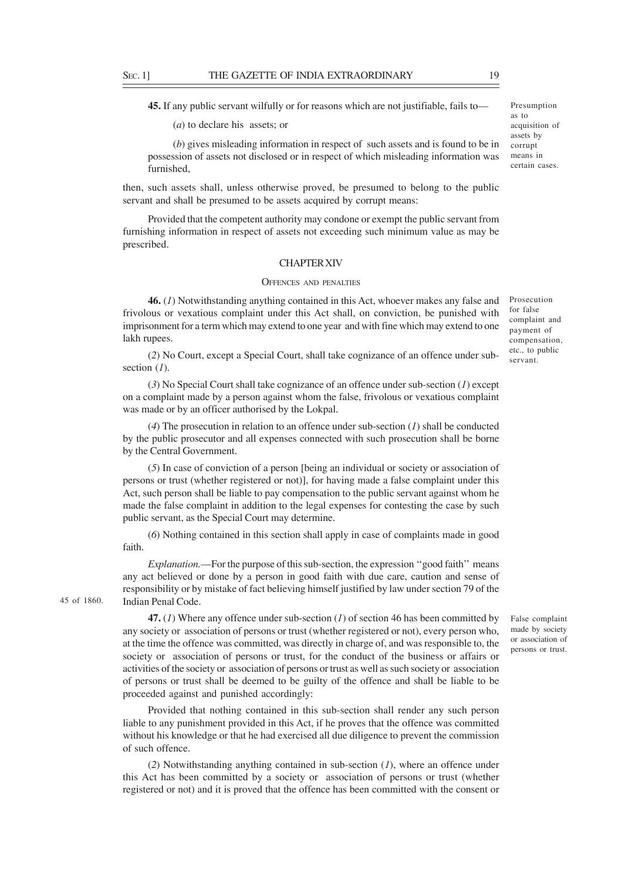**45.** If any public servant wilfully or for reasons which are not justifiable, fails to—

(*a*) to declare his assets; or

(*b*) gives misleading information in respect of such assets and is found to be in possession of assets not disclosed or in respect of which misleading information was furnished,

then, such assets shall, unless otherwise proved, be presumed to belong to the public servant and shall be presumed to be assets acquired by corrupt means:

Provided that the competent authority may condone or exempt the public servant from furnishing information in respect of assets not exceeding such minimum value as may be prescribed.

## CHAPTER XIV

#### OFFENCES AND PENALTIES

**46.** (*1*) Notwithstanding anything contained in this Act, whoever makes any false and frivolous or vexatious complaint under this Act shall, on conviction, be punished with imprisonment for a term which may extend to one year and with fine which may extend to one lakh rupees.

(*2*) No Court, except a Special Court, shall take cognizance of an offence under subsection (*1*).

(*3*) No Special Court shall take cognizance of an offence under sub-section (*1*) except on a complaint made by a person against whom the false, frivolous or vexatious complaint was made or by an officer authorised by the Lokpal.

(*4*) The prosecution in relation to an offence under sub-section (*1*) shall be conducted by the public prosecutor and all expenses connected with such prosecution shall be borne by the Central Government.

(*5*) In case of conviction of a person [being an individual or society or association of persons or trust (whether registered or not)], for having made a false complaint under this Act, such person shall be liable to pay compensation to the public servant against whom he made the false complaint in addition to the legal expenses for contesting the case by such public servant, as the Special Court may determine.

(*6*) Nothing contained in this section shall apply in case of complaints made in good faith.

*Explanation*.—For the purpose of this sub-section, the expression "good faith" means any act believed or done by a person in good faith with due care, caution and sense of responsibility or by mistake of fact believing himself justified by law under section 79 of the Indian Penal Code.

**47.** (*1*) Where any offence under sub-section (*1*) of section 46 has been committed by any society or association of persons or trust (whether registered or not), every person who, at the time the offence was committed, was directly in charge of, and was responsible to, the society or association of persons or trust, for the conduct of the business or affairs or activities of the society or association of persons or trust as well as such society or association of persons or trust shall be deemed to be guilty of the offence and shall be liable to be proceeded against and punished accordingly:

Provided that nothing contained in this sub-section shall render any such person liable to any punishment provided in this Act, if he proves that the offence was committed without his knowledge or that he had exercised all due diligence to prevent the commission of such offence.

(*2*) Notwithstanding anything contained in sub-section (*1*), where an offence under this Act has been committed by a society or association of persons or trust (whether registered or not) and it is proved that the offence has been committed with the consent or

False complaint made by society or association of persons or trust.

Prosecution for false complaint and payment of compensation, etc., to public servant.

45 of 1860.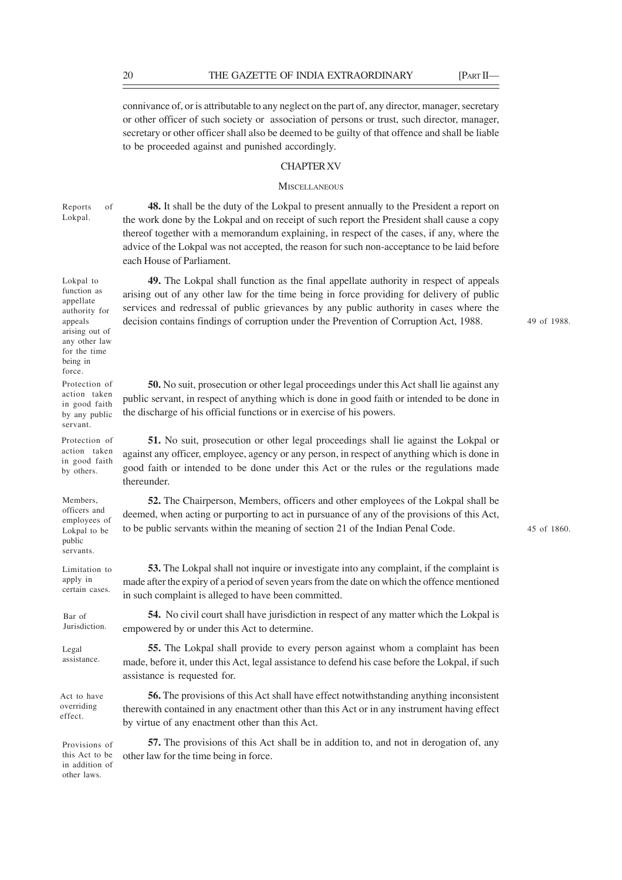connivance of, or is attributable to any neglect on the part of, any director, manager, secretary or other officer of such society or association of persons or trust, such director, manager, secretary or other officer shall also be deemed to be guilty of that offence and shall be liable to be proceeded against and punished accordingly.

## CHAPTER XV

#### **MISCELLANEOUS**

Reports of Lokpal.

**48.** It shall be the duty of the Lokpal to present annually to the President a report on the work done by the Lokpal and on receipt of such report the President shall cause a copy thereof together with a memorandum explaining, in respect of the cases, if any, where the advice of the Lokpal was not accepted, the reason for such non-acceptance to be laid before each House of Parliament.

**49.** The Lokpal shall function as the final appellate authority in respect of appeals arising out of any other law for the time being in force providing for delivery of public services and redressal of public grievances by any public authority in cases where the decision contains findings of corruption under the Prevention of Corruption Act, 1988.

49 of 1988.

**50.** No suit, prosecution or other legal proceedings under this Act shall lie against any public servant, in respect of anything which is done in good faith or intended to be done in the discharge of his official functions or in exercise of his powers.

**51.** No suit, prosecution or other legal proceedings shall lie against the Lokpal or against any officer, employee, agency or any person, in respect of anything which is done in good faith or intended to be done under this Act or the rules or the regulations made thereunder.

**52.** The Chairperson, Members, officers and other employees of the Lokpal shall be deemed, when acting or purporting to act in pursuance of any of the provisions of this Act, to be public servants within the meaning of section 21 of the Indian Penal Code.

**53.** The Lokpal shall not inquire or investigate into any complaint, if the complaint is made after the expiry of a period of seven years from the date on which the offence mentioned in such complaint is alleged to have been committed.

**54.** No civil court shall have jurisdiction in respect of any matter which the Lokpal is empowered by or under this Act to determine.

**55.** The Lokpal shall provide to every person against whom a complaint has been made, before it, under this Act, legal assistance to defend his case before the Lokpal, if such assistance is requested for.

**56.** The provisions of this Act shall have effect notwithstanding anything inconsistent therewith contained in any enactment other than this Act or in any instrument having effect by virtue of any enactment other than this Act.

**57.** The provisions of this Act shall be in addition to, and not in derogation of, any other law for the time being in force.

Lokpal to function as appellate authority for

appeals arising out of any other law for the time being in force. Protection of action taken in good faith by any public

servant. Protection of action taken in good faith

by others.

Members, officers and employees of Lokpal to be public servants.

Limitation to apply in certain cases.

Bar of Jurisdiction.

Legal assistance.

Act to have overriding effect.

Provisions of this Act to be in addition of other laws.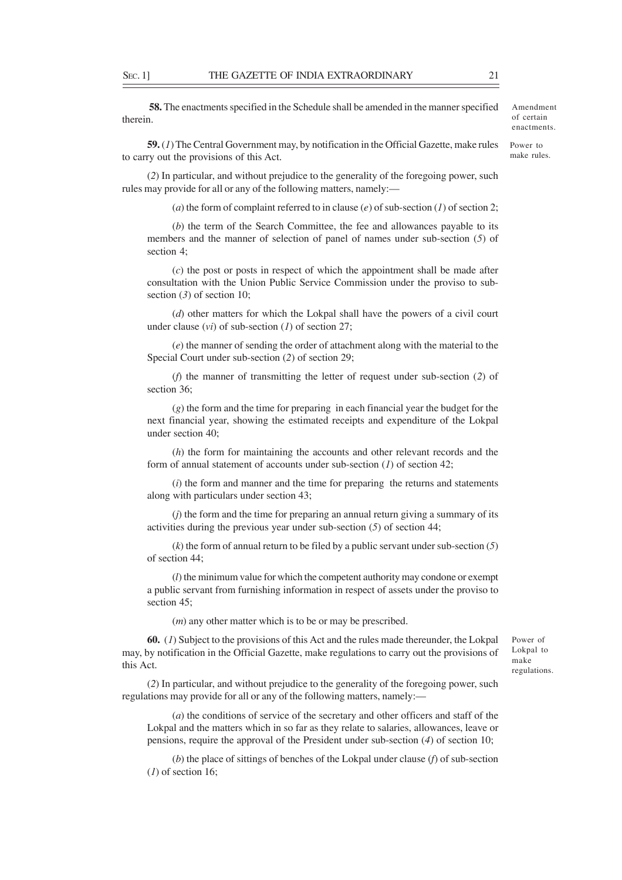**58.** The enactments specified in the Schedule shall be amended in the manner specified therein.

**59.** (*1*) The Central Government may, by notification in the Official Gazette, make rules to carry out the provisions of this Act.

(*2*) In particular, and without prejudice to the generality of the foregoing power, such rules may provide for all or any of the following matters, namely:—

(*a*) the form of complaint referred to in clause (*e*) of sub-section (*1*) of section 2;

(*b*) the term of the Search Committee, the fee and allowances payable to its members and the manner of selection of panel of names under sub-section (*5*) of section 4;

(*c*) the post or posts in respect of which the appointment shall be made after consultation with the Union Public Service Commission under the proviso to subsection (*3*) of section 10;

(*d*) other matters for which the Lokpal shall have the powers of a civil court under clause (*vi*) of sub-section (*1*) of section 27;

(*e*) the manner of sending the order of attachment along with the material to the Special Court under sub-section (*2*) of section 29;

(*f*) the manner of transmitting the letter of request under sub-section (*2*) of section 36;

(*g*) the form and the time for preparing in each financial year the budget for the next financial year, showing the estimated receipts and expenditure of the Lokpal under section 40;

(*h*) the form for maintaining the accounts and other relevant records and the form of annual statement of accounts under sub-section (*1*) of section 42;

(*i*) the form and manner and the time for preparing the returns and statements along with particulars under section 43;

(*j*) the form and the time for preparing an annual return giving a summary of its activities during the previous year under sub-section (*5*) of section 44;

(*k*) the form of annual return to be filed by a public servant under sub-section (*5*) of section 44;

(*l*) the minimum value for which the competent authority may condone or exempt a public servant from furnishing information in respect of assets under the proviso to section 45:

(*m*) any other matter which is to be or may be prescribed.

**60.** (*1*) Subject to the provisions of this Act and the rules made thereunder, the Lokpal may, by notification in the Official Gazette, make regulations to carry out the provisions of this Act.

(*2*) In particular, and without prejudice to the generality of the foregoing power, such regulations may provide for all or any of the following matters, namely:—

(*a*) the conditions of service of the secretary and other officers and staff of the Lokpal and the matters which in so far as they relate to salaries, allowances, leave or pensions, require the approval of the President under sub-section (*4*) of section 10;

(*b*) the place of sittings of benches of the Lokpal under clause (*f*) of sub-section (*1*) of section 16;

Power of Lokpal to make regulations.

Amendment of certain enactments. Power to make rules.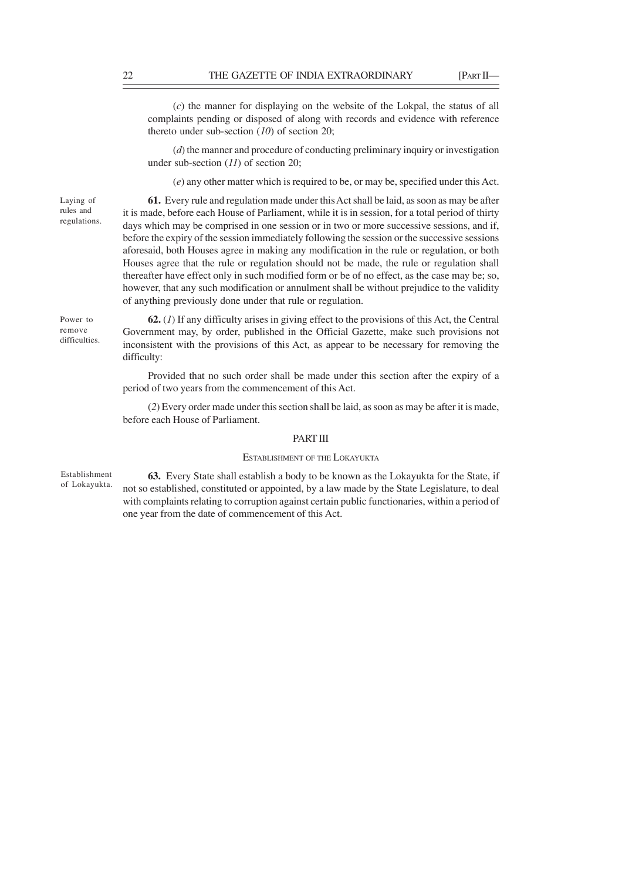(*c*) the manner for displaying on the website of the Lokpal, the status of all complaints pending or disposed of along with records and evidence with reference thereto under sub-section (*10*) of section 20;

(*d*) the manner and procedure of conducting preliminary inquiry or investigation under sub-section (*11*) of section 20;

(*e*) any other matter which is required to be, or may be, specified under this Act.

Laying of rules and regulations.

**61.** Every rule and regulation made under this Act shall be laid, as soon as may be after it is made, before each House of Parliament, while it is in session, for a total period of thirty days which may be comprised in one session or in two or more successive sessions, and if, before the expiry of the session immediately following the session or the successive sessions aforesaid, both Houses agree in making any modification in the rule or regulation, or both Houses agree that the rule or regulation should not be made, the rule or regulation shall thereafter have effect only in such modified form or be of no effect, as the case may be; so, however, that any such modification or annulment shall be without prejudice to the validity of anything previously done under that rule or regulation.

Power to remove difficulties.

**62.** (*1*) If any difficulty arises in giving effect to the provisions of this Act, the Central Government may, by order, published in the Official Gazette, make such provisions not inconsistent with the provisions of this Act, as appear to be necessary for removing the difficulty:

Provided that no such order shall be made under this section after the expiry of a period of two years from the commencement of this Act.

(*2*) Every order made under this section shall be laid, as soon as may be after it is made, before each House of Parliament.

#### PART III

## ESTABLISHMENT OF THE LOKAYUKTA

Establishment of Lokayukta.

**63.** Every State shall establish a body to be known as the Lokayukta for the State, if not so established, constituted or appointed, by a law made by the State Legislature, to deal with complaints relating to corruption against certain public functionaries, within a period of one year from the date of commencement of this Act.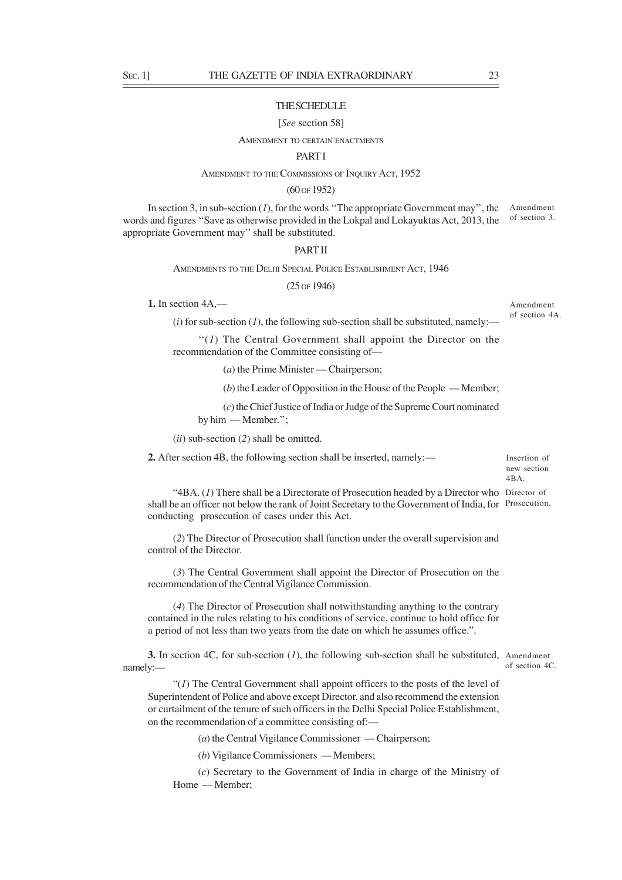## **THE SCHEDULE**

#### [*See* section 58]

#### AMENDMENT TO CERTAIN ENACTMENTS

## **PART I**

#### AMENDMENT TO THE COMMISSIONS OF INQUIRY ACT, 1952

## (60 OF 1952)

In section 3, in sub-section (*1*), for the words "The appropriate Government may", the Amendment words and figures "Save as otherwise provided in the Lokpal and Lokayuktas Act, 2013, the of section 3. appropriate Government may'' shall be substituted.

#### PART II

AMENDMENTS TO THE DELHI SPECIAL POLICE ESTABLISHMENT ACT, 1946

(25 OF 1946)

**1.** In section 4A,—

Amendment of section 4A.

 $(i)$  for sub-section  $(I)$ , the following sub-section shall be substituted, namely:—

''(*1*) The Central Government shall appoint the Director on the recommendation of the Committee consisting of—

(*a*) the Prime Minister — Chairperson;

(*b*) the Leader of Opposition in the House of the People — Member;

(*c*) the Chief Justice of India or Judge of the Supreme Court nominated by him — Member.'';

(*ii*) sub-section (*2*) shall be omitted.

**2.** After section 4B, the following section shall be inserted, namely:—

Insertion of new section  $4BA$ 

"4BA. (1) There shall be a Directorate of Prosecution headed by a Director who Director of shall be an officer not below the rank of Joint Secretary to the Government of India, for Prosecution. conducting prosecution of cases under this Act.

(*2*) The Director of Prosecution shall function under the overall supervision and control of the Director.

(*3*) The Central Government shall appoint the Director of Prosecution on the recommendation of the Central Vigilance Commission.

(*4*) The Director of Prosecution shall notwithstanding anything to the contrary contained in the rules relating to his conditions of service, continue to hold office for a period of not less than two years from the date on which he assumes office.".

**3.** In section 4C, for sub-section (*1*), the following sub-section shall be substituted, Amendment namely: of section 4C.

"(*1*) The Central Government shall appoint officers to the posts of the level of Superintendent of Police and above except Director, and also recommend the extension or curtailment of the tenure of such officers in the Delhi Special Police Establishment, on the recommendation of a committee consisting of:—

(*a*) the Central Vigilance Commissioner — Chairperson;

(*b*) Vigilance Commissioners — Members;

(*c*) Secretary to the Government of India in charge of the Ministry of Home — Member;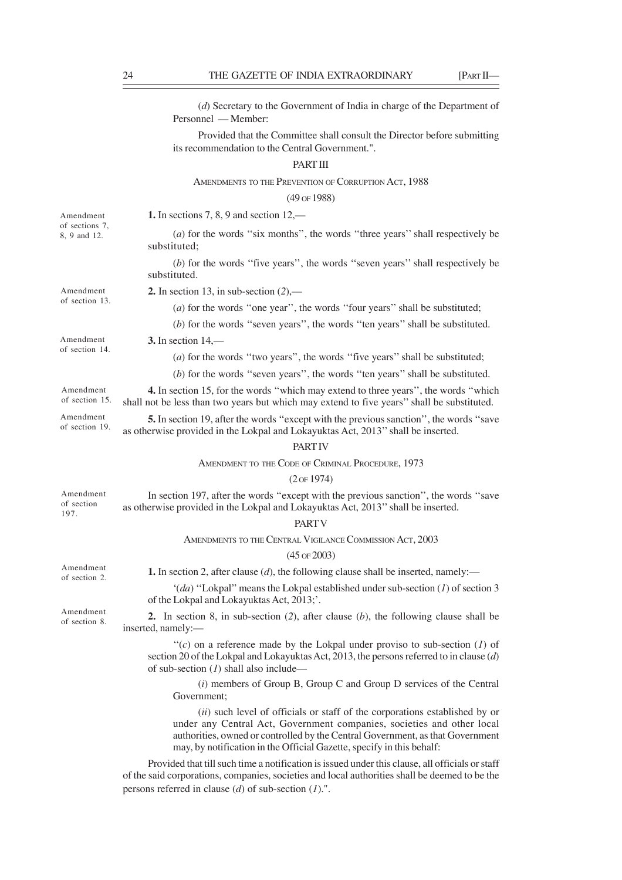|                                             | (d) Secretary to the Government of India in charge of the Department of<br>Personnel — Member:                                                                                                                                          |
|---------------------------------------------|-----------------------------------------------------------------------------------------------------------------------------------------------------------------------------------------------------------------------------------------|
|                                             | Provided that the Committee shall consult the Director before submitting<br>its recommendation to the Central Government.".                                                                                                             |
|                                             | <b>PARTIII</b>                                                                                                                                                                                                                          |
|                                             | AMENDMENTS TO THE PREVENTION OF CORRUPTION ACT, 1988                                                                                                                                                                                    |
|                                             | (49 OF 1988)                                                                                                                                                                                                                            |
| Amendment<br>of sections 7,<br>8, 9 and 12. | <b>1.</b> In sections 7, 8, 9 and section $12,$ —                                                                                                                                                                                       |
|                                             | (a) for the words "six months", the words "three years" shall respectively be<br>substituted;                                                                                                                                           |
|                                             | $(b)$ for the words "five years", the words "seven years" shall respectively be<br>substituted.                                                                                                                                         |
| Amendment<br>of section 13.                 | 2. In section 13, in sub-section $(2)$ ,—                                                                                                                                                                                               |
|                                             | $(a)$ for the words "one year", the words "four years" shall be substituted;                                                                                                                                                            |
|                                             | $(b)$ for the words "seven years", the words "ten years" shall be substituted.                                                                                                                                                          |
| Amendment<br>of section 14.                 | 3. In section $14,$ —                                                                                                                                                                                                                   |
|                                             | (a) for the words "two years", the words "five years" shall be substituted;                                                                                                                                                             |
|                                             | $(b)$ for the words "seven years", the words "ten years" shall be substituted.                                                                                                                                                          |
| Amendment<br>of section 15.                 | 4. In section 15, for the words "which may extend to three years", the words "which<br>shall not be less than two years but which may extend to five years" shall be substituted.                                                       |
| Amendment<br>of section 19.                 | 5. In section 19, after the words "except with the previous sanction", the words "save"<br>as otherwise provided in the Lokpal and Lokayuktas Act, 2013" shall be inserted.                                                             |
|                                             | <b>PARTIV</b>                                                                                                                                                                                                                           |
|                                             | AMENDMENT TO THE CODE OF CRIMINAL PROCEDURE, 1973                                                                                                                                                                                       |
|                                             | $(2$ of 1974)                                                                                                                                                                                                                           |
| Amendment<br>of section<br>197.             | In section 197, after the words "except with the previous sanction", the words "save<br>as otherwise provided in the Lokpal and Lokayuktas Act, 2013" shall be inserted.                                                                |
|                                             | <b>PARTV</b>                                                                                                                                                                                                                            |
|                                             | AMENDMENTS TO THE CENTRAL VIGILANCE COMMISSION ACT, 2003                                                                                                                                                                                |
|                                             | $(45 \text{ of } 2003)$                                                                                                                                                                                                                 |
| Amendment<br>of section 2.                  | <b>1.</b> In section 2, after clause $(d)$ , the following clause shall be inserted, namely:—                                                                                                                                           |
|                                             | $'(da)$ "Lokpal" means the Lokpal established under sub-section (1) of section 3<br>of the Lokpal and Lokayuktas Act, 2013;'.                                                                                                           |
| Amendment<br>of section 8.                  | 2. In section 8, in sub-section $(2)$ , after clause $(b)$ , the following clause shall be<br>inserted, namely:-                                                                                                                        |
|                                             | " $(c)$ on a reference made by the Lokpal under proviso to sub-section $(l)$ of<br>section 20 of the Lokpal and Lokayuktas Act, 2013, the persons referred to in clause $(d)$<br>of sub-section $(I)$ shall also include—               |
|                                             | $(i)$ members of Group B, Group C and Group D services of the Central<br>Government;                                                                                                                                                    |
|                                             | (ii) such level of officials or staff of the corporations established by or<br>under any Central Act, Government companies, societies and other local<br>authorities, owned or controlled by the Central Government, as that Government |

Provided that till such time a notification is issued under this clause, all officials or staff of the said corporations, companies, societies and local authorities shall be deemed to be the persons referred in clause (*d*) of sub-section (*1*).".

may, by notification in the Official Gazette, specify in this behalf: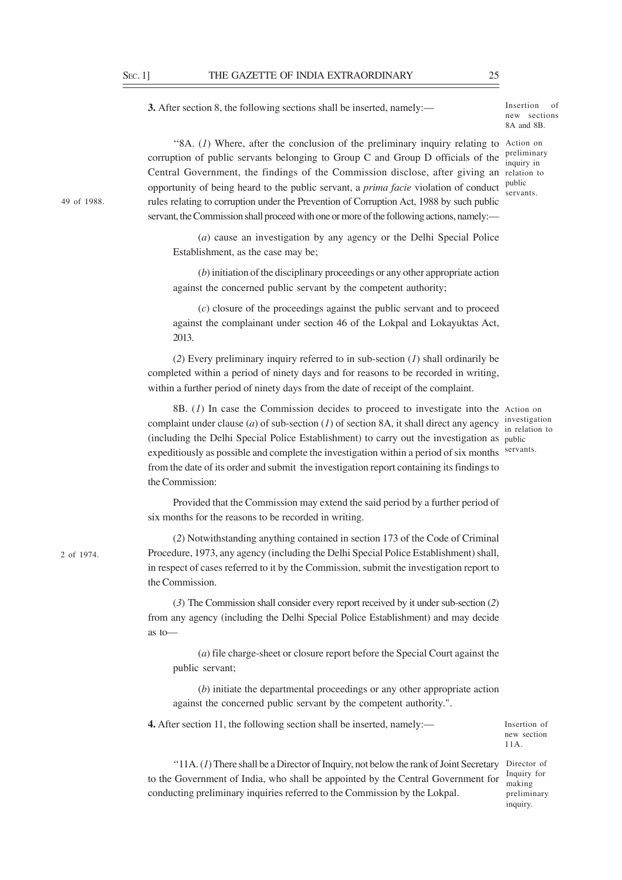**3.** After section 8, the following sections shall be inserted, namely:—

Insertion of new sections 8A and 8B.

preliminary inquiry in

public servants.

"8A.  $(I)$  Where, after the conclusion of the preliminary inquiry relating to Action on corruption of public servants belonging to Group C and Group D officials of the Central Government, the findings of the Commission disclose, after giving an relation to opportunity of being heard to the public servant, a *prima facie* violation of conduct rules relating to corruption under the Prevention of Corruption Act, 1988 by such public servant, the Commission shall proceed with one or more of the following actions, namely:—

(*a*) cause an investigation by any agency or the Delhi Special Police Establishment, as the case may be;

(*b*) initiation of the disciplinary proceedings or any other appropriate action against the concerned public servant by the competent authority;

(*c*) closure of the proceedings against the public servant and to proceed against the complainant under section 46 of the Lokpal and Lokayuktas Act, 2013.

(*2*) Every preliminary inquiry referred to in sub-section (*1*) shall ordinarily be completed within a period of ninety days and for reasons to be recorded in writing, within a further period of ninety days from the date of receipt of the complaint.

8B. (*1*) In case the Commission decides to proceed to investigate into the Action on complaint under clause (*a*) of sub-section (*I*) of section 8A, it shall direct any agency in setting to (including the Delhi Special Police Establishment) to carry out the investigation as public expeditiously as possible and complete the investigation within a period of six months from the date of its order and submit the investigation report containing its findings to the Commission:

in relation to servants.

Provided that the Commission may extend the said period by a further period of six months for the reasons to be recorded in writing.

(*2*) Notwithstanding anything contained in section 173 of the Code of Criminal Procedure, 1973, any agency (including the Delhi Special Police Establishment) shall, in respect of cases referred to it by the Commission, submit the investigation report to the Commission.

(*3*) The Commission shall consider every report received by it under sub-section (*2*) from any agency (including the Delhi Special Police Establishment) and may decide as to—

(*a*) file charge-sheet or closure report before the Special Court against the public servant;

(*b*) initiate the departmental proceedings or any other appropriate action against the concerned public servant by the competent authority.".

**4.** After section 11, the following section shall be inserted, namely:—

Insertion of new section 11A.

"11A. (1) There shall be a Director of Inquiry, not below the rank of Joint Secretary Director of to the Government of India, who shall be appointed by the Central Government for conducting preliminary inquiries referred to the Commission by the Lokpal.

Inquiry for making preliminary inquiry.

49 of 1988.